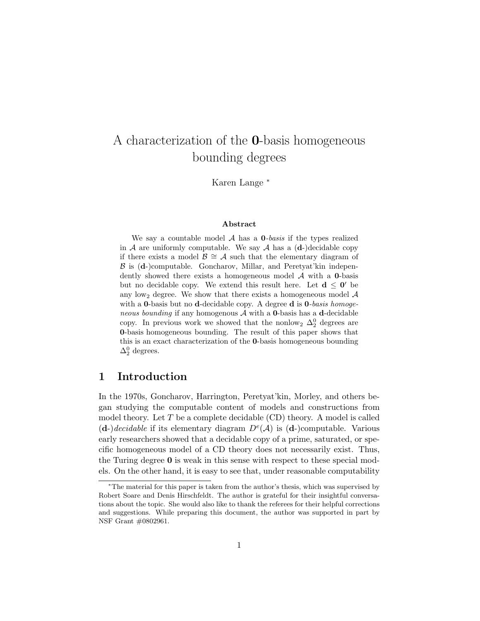# A characterization of the 0-basis homogeneous bounding degrees

Karen Lange <sup>∗</sup>

#### Abstract

We say a countable model  $A$  has a **0**-basis if the types realized in  $A$  are uniformly computable. We say  $A$  has a  $(d-)$  decidable copy if there exists a model  $\mathcal{B} \cong \mathcal{A}$  such that the elementary diagram of  $\beta$  is (d-)computable. Goncharov, Millar, and Peretyat'kin independently showed there exists a homogeneous model  $A$  with a  $0$ -basis but no decidable copy. We extend this result here. Let  $d \leq 0'$  be any low<sub>2</sub> degree. We show that there exists a homogeneous model  $A$ with a **0**-basis but no **d**-decidable copy. A degree **d** is  $0$ -basis homogeneous bounding if any homogenous  $A$  with a **0**-basis has a **d**-decidable copy. In previous work we showed that the nonlow<sub>2</sub>  $\Delta_2^0$  degrees are 0-basis homogeneous bounding. The result of this paper shows that this is an exact characterization of the 0-basis homogeneous bounding  $\Delta_2^0$  degrees.

# 1 Introduction

In the 1970s, Goncharov, Harrington, Peretyat'kin, Morley, and others began studying the computable content of models and constructions from model theory. Let  $T$  be a complete decidable  $(CD)$  theory. A model is called  $(d-) decidable$  if its elementary diagram  $D^{e}(\mathcal{A})$  is  $(d-)$ computable. Various early researchers showed that a decidable copy of a prime, saturated, or specific homogeneous model of a CD theory does not necessarily exist. Thus, the Turing degree  $\bf{0}$  is weak in this sense with respect to these special models. On the other hand, it is easy to see that, under reasonable computability

<sup>∗</sup>The material for this paper is taken from the author's thesis, which was supervised by Robert Soare and Denis Hirschfeldt. The author is grateful for their insightful conversations about the topic. She would also like to thank the referees for their helpful corrections and suggestions. While preparing this document, the author was supported in part by NSF Grant #0802961.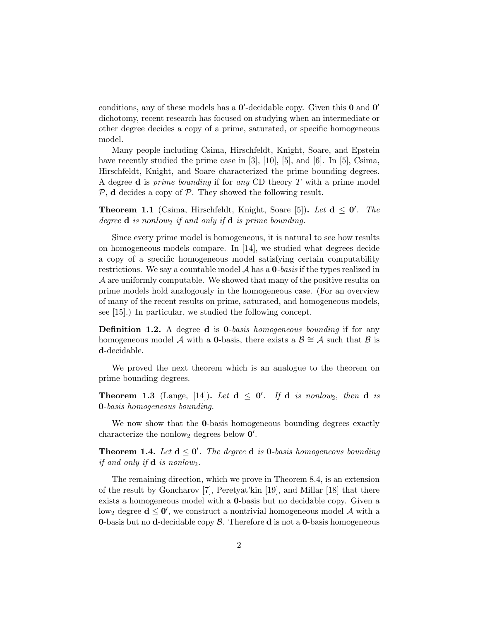conditions, any of these models has a  $0'$ -decidable copy. Given this  $0$  and  $0'$ dichotomy, recent research has focused on studying when an intermediate or other degree decides a copy of a prime, saturated, or specific homogeneous model.

Many people including Csima, Hirschfeldt, Knight, Soare, and Epstein have recently studied the prime case in [3], [10], [5], and [6]. In [5], Csima, Hirschfeldt, Knight, and Soare characterized the prime bounding degrees. A degree **d** is *prime bounding* if for any CD theory  $T$  with a prime model  $P$ , d decides a copy of  $P$ . They showed the following result.

**Theorem 1.1** (Csima, Hirschfeldt, Knight, Soare [5]). Let  $d \le 0'$ . The degree  $\bf d$  is nonlow<sub>2</sub> if and only if  $\bf d$  is prime bounding.

Since every prime model is homogeneous, it is natural to see how results on homogeneous models compare. In [14], we studied what degrees decide a copy of a specific homogeneous model satisfying certain computability restrictions. We say a countable model  $A$  has a  $0$ -basis if the types realized in A are uniformly computable. We showed that many of the positive results on prime models hold analogously in the homogeneous case. (For an overview of many of the recent results on prime, saturated, and homogeneous models, see [15].) In particular, we studied the following concept.

**Definition 1.2.** A degree **d** is **0**-basis homogeneous bounding if for any homogeneous model A with a 0-basis, there exists a  $\mathcal{B} \cong \mathcal{A}$  such that  $\mathcal{B}$  is d-decidable.

We proved the next theorem which is an analogue to the theorem on prime bounding degrees.

**Theorem 1.3** (Lange, [14]). Let  $d \le 0'$ . If  $d$  is nonlow<sub>2</sub>, then  $d$  is 0-basis homogeneous bounding.

We now show that the **0**-basis homogeneous bounding degrees exactly characterize the nonlow<sub>2</sub> degrees below  $0'$ .

**Theorem 1.4.** Let  $d \le 0'$ . The degree **d** is **0**-basis homogeneous bounding if and only if  $\mathbf d$  is nonlow<sub>2</sub>.

The remaining direction, which we prove in Theorem 8.4, is an extension of the result by Goncharov [7], Peretyat'kin [19], and Millar [18] that there exists a homogeneous model with a 0-basis but no decidable copy. Given a low<sub>2</sub> degree  $d \leq 0'$ , we construct a nontrivial homogeneous model A with a **0-basis but no d-decidable copy**  $\beta$ **.** Therefore **d** is not a **0-basis homogeneous**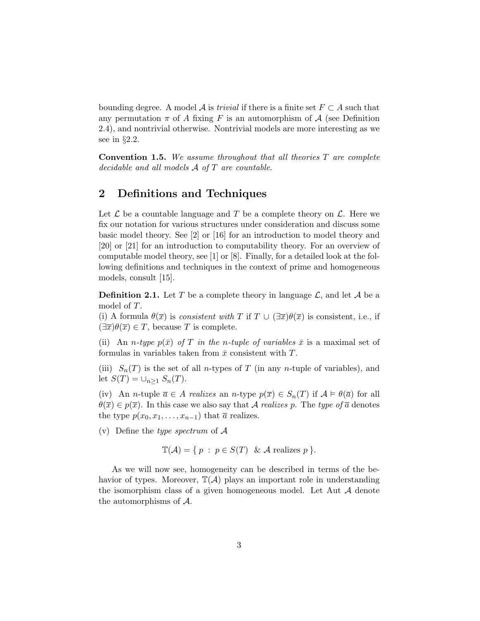bounding degree. A model A is *trivial* if there is a finite set  $F \subset A$  such that any permutation  $\pi$  of A fixing F is an automorphism of A (see Definition 2.4), and nontrivial otherwise. Nontrivial models are more interesting as we see in §2.2.

**Convention 1.5.** We assume throughout that all theories  $T$  are complete decidable and all models A of T are countable.

# 2 Definitions and Techniques

Let  $\mathcal L$  be a countable language and T be a complete theory on  $\mathcal L$ . Here we fix our notation for various structures under consideration and discuss some basic model theory. See [2] or [16] for an introduction to model theory and [20] or [21] for an introduction to computability theory. For an overview of computable model theory, see [1] or  $[8]$ . Finally, for a detailed look at the following definitions and techniques in the context of prime and homogeneous models, consult [15].

**Definition 2.1.** Let T be a complete theory in language  $\mathcal{L}$ , and let A be a model of T.

(i) A formula  $\theta(\overline{x})$  is consistent with T if  $T \cup (\exists \overline{x})\theta(\overline{x})$  is consistent, i.e., if  $(\exists \overline{x})\theta(\overline{x}) \in T$ , because T is complete.

(ii) An *n*-type  $p(\bar{x})$  of T in the *n*-tuple of variables  $\bar{x}$  is a maximal set of formulas in variables taken from  $\bar{x}$  consistent with T.

(iii)  $S_n(T)$  is the set of all *n*-types of T (in any *n*-tuple of variables), and let  $S(T) = \bigcup_{n \geq 1} S_n(T)$ .

(iv) An *n*-tuple  $\overline{a} \in A$  realizes an *n*-type  $p(\overline{x}) \in S_n(T)$  if  $A \models \theta(\overline{a})$  for all  $\theta(\overline{x}) \in p(\overline{x})$ . In this case we also say that A realizes p. The type of  $\overline{a}$  denotes the type  $p(x_0, x_1, \ldots, x_{n-1})$  that  $\overline{a}$  realizes.

(v) Define the type spectrum of  $A$ 

$$
\mathbb{T}(\mathcal{A}) = \{ p : p \in S(T) \& A \text{ realizes } p \}.
$$

As we will now see, homogeneity can be described in terms of the behavior of types. Moreover,  $\mathbb{T}(\mathcal{A})$  plays an important role in understanding the isomorphism class of a given homogeneous model. Let Aut A denote the automorphisms of A.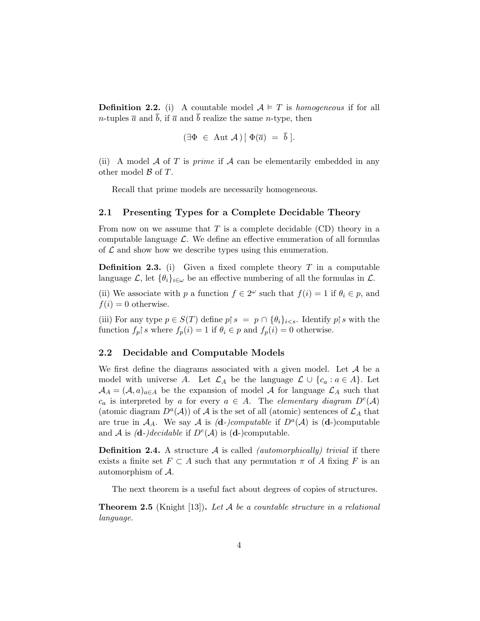**Definition 2.2.** (i) A countable model  $A \models T$  is homogeneous if for all *n*-tuples  $\bar{a}$  and *b*, if  $\bar{a}$  and *b* realize the same *n*-type, then

$$
(\exists \Phi \in \text{Aut } \mathcal{A}) \, [\, \Phi(\overline{a}) = \overline{b} \, ].
$$

(ii) A model A of T is *prime* if  $\mathcal A$  can be elementarily embedded in any other model  $\beta$  of  $T$ .

Recall that prime models are necessarily homogeneous.

### 2.1 Presenting Types for a Complete Decidable Theory

From now on we assume that  $T$  is a complete decidable  $(CD)$  theory in a computable language  $\mathcal{L}$ . We define an effective enumeration of all formulas of  $\mathcal L$  and show how we describe types using this enumeration.

**Definition 2.3.** (i) Given a fixed complete theory  $T$  in a computable language  $\mathcal{L}$ , let  $\{\theta_i\}_{i\in\omega}$  be an effective numbering of all the formulas in  $\mathcal{L}$ .

(ii) We associate with p a function  $f \in 2^{\omega}$  such that  $f(i) = 1$  if  $\theta_i \in p$ , and  $f(i) = 0$  otherwise.

(iii) For any type  $p \in S(T)$  define  $p \upharpoonright s = p \cap \{\theta_i\}_{i \leq s}$ . Identify  $p \upharpoonright s$  with the function  $f_p$  s where  $f_p(i) = 1$  if  $\theta_i \in p$  and  $f_p(i) = 0$  otherwise.

## 2.2 Decidable and Computable Models

We first define the diagrams associated with a given model. Let  $A$  be a model with universe A. Let  $\mathcal{L}_A$  be the language  $\mathcal{L} \cup \{c_a : a \in A\}$ . Let  $\mathcal{A}_A = (\mathcal{A}, a)_{a \in A}$  be the expansion of model A for language  $\mathcal{L}_A$  such that  $c_a$  is interpreted by a for every  $a \in A$ . The elementary diagram  $D^e(A)$ (atomic diagram  $D^a(\mathcal{A})$ ) of  $\mathcal A$  is the set of all (atomic) sentences of  $\mathcal L_A$  that are true in  $A_A$ . We say A is (d-)computable if  $D^a(\mathcal{A})$  is (d-)computable and A is  $(d-)decidable$  if  $D<sup>e</sup>(A)$  is  $(d-)$ computable.

**Definition 2.4.** A structure  $\mathcal A$  is called *(automorphically) trivial* if there exists a finite set  $F \subset A$  such that any permutation  $\pi$  of A fixing F is an automorphism of A.

The next theorem is a useful fact about degrees of copies of structures.

**Theorem 2.5** (Knight [13]). Let A be a countable structure in a relational language.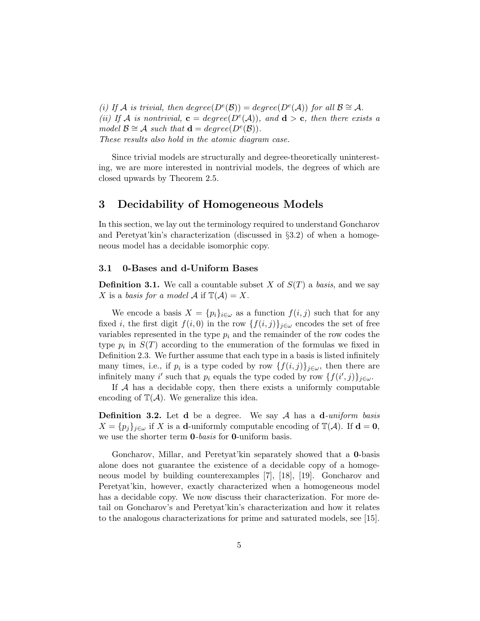(i) If A is trivial, then  $degree(D^e(\mathcal{B})) = degree(D^e(\mathcal{A}))$  for all  $\mathcal{B} \cong \mathcal{A}$ . (ii) If A is nontrivial,  $\mathbf{c} = degree(D^e(\mathcal{A}))$ , and  $\mathbf{d} > \mathbf{c}$ , then there exists a model  $\mathcal{B} \cong \mathcal{A}$  such that  $\mathbf{d} = degree(D^e(\mathcal{B})).$ These results also hold in the atomic diagram case.

Since trivial models are structurally and degree-theoretically uninteresting, we are more interested in nontrivial models, the degrees of which are closed upwards by Theorem 2.5.

# 3 Decidability of Homogeneous Models

In this section, we lay out the terminology required to understand Goncharov and Peretyat'kin's characterization (discussed in  $\S 3.2$ ) of when a homogeneous model has a decidable isomorphic copy.

### 3.1 0-Bases and d-Uniform Bases

**Definition 3.1.** We call a countable subset X of  $S(T)$  a basis, and we say X is a basis for a model A if  $\mathbb{T}(\mathcal{A}) = X$ .

We encode a basis  $X = \{p_i\}_{i \in \omega}$  as a function  $f(i, j)$  such that for any fixed *i*, the first digit  $f(i, 0)$  in the row  $\{f(i, j)\}_{j \in \omega}$  encodes the set of free variables represented in the type  $p_i$  and the remainder of the row codes the type  $p_i$  in  $S(T)$  according to the enumeration of the formulas we fixed in Definition 2.3. We further assume that each type in a basis is listed infinitely many times, i.e., if  $p_i$  is a type coded by row  $\{f(i,j)\}_{j\in\omega}$ , then there are infinitely many i' such that  $p_i$  equals the type coded by row  $\{f(i',j)\}_{j\in\omega}$ .

If  $A$  has a decidable copy, then there exists a uniformly computable encoding of  $\mathbb{T}(\mathcal{A})$ . We generalize this idea.

**Definition 3.2.** Let **d** be a degree. We say  $A$  has a **d**-uniform basis  $X = \{p_j\}_{j\in\omega}$  if X is a **d**-uniformly computable encoding of  $\mathbb{T}(\mathcal{A})$ . If  $\mathbf{d} = \mathbf{0}$ , we use the shorter term **0**-basis for **0**-uniform basis.

Goncharov, Millar, and Peretyat'kin separately showed that a 0-basis alone does not guarantee the existence of a decidable copy of a homogeneous model by building counterexamples [7], [18], [19]. Goncharov and Peretyat'kin, however, exactly characterized when a homogeneous model has a decidable copy. We now discuss their characterization. For more detail on Goncharov's and Peretyat'kin's characterization and how it relates to the analogous characterizations for prime and saturated models, see [15].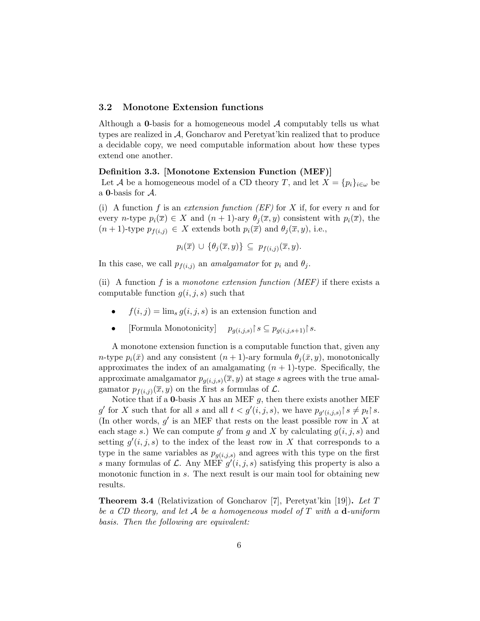## 3.2 Monotone Extension functions

Although a **0**-basis for a homogeneous model  $\mathcal A$  computably tells us what types are realized in A, Goncharov and Peretyat'kin realized that to produce a decidable copy, we need computable information about how these types extend one another.

## Definition 3.3. [Monotone Extension Function (MEF)]

Let A be a homogeneous model of a CD theory T, and let  $X = \{p_i\}_{i \in \omega}$  be a 0-basis for A.

(i) A function f is an extension function  $(EF)$  for X if, for every n and for every n-type  $p_i(\overline{x}) \in X$  and  $(n+1)$ -ary  $\theta_i(\overline{x}, y)$  consistent with  $p_i(\overline{x})$ , the  $(n+1)$ -type  $p_{f(i,j)} \in X$  extends both  $p_i(\overline{x})$  and  $\theta_j(\overline{x}, y)$ , i.e.,

$$
p_i(\overline{x}) \cup \{\theta_j(\overline{x},y)\} \subseteq p_{f(i,j)}(\overline{x},y).
$$

In this case, we call  $p_{f(i,j)}$  an *amalgamator* for  $p_i$  and  $\theta_j$ .

(ii) A function f is a monotone extension function (MEF) if there exists a computable function  $g(i, j, s)$  such that

- $f(i, j) = \lim_{s} q(i, j, s)$  is an extension function and
- [Formula Monotonicity]  $p_{g(i,j,s)}$   $s \subseteq p_{g(i,j,s+1)}$  s.

A monotone extension function is a computable function that, given any n-type  $p_i(\bar{x})$  and any consistent  $(n + 1)$ -ary formula  $\theta_i(\bar{x}, y)$ , monotonically approximates the index of an amalgamating  $(n + 1)$ -type. Specifically, the approximate amalgamator  $p_{g(i,j,s)}(\overline{x}, y)$  at stage s agrees with the true amalgamator  $p_{f(i,j)}(\bar{x}, y)$  on the first s formulas of  $\mathcal{L}$ .

Notice that if a **0**-basis X has an MEF  $g$ , then there exists another MEF g' for X such that for all s and all  $t < g'(i, j, s)$ , we have  $p_{g'(i,j,s)} \upharpoonright s \neq p_t \upharpoonright s$ . (In other words,  $g'$  is an MEF that rests on the least possible row in X at each stage s.) We can compute g' from g and X by calculating  $g(i, j, s)$  and setting  $g'(i, j, s)$  to the index of the least row in X that corresponds to a type in the same variables as  $p_{q(i,j,s)}$  and agrees with this type on the first s many formulas of L. Any MEF  $g'(i, j, s)$  satisfying this property is also a monotonic function in s. The next result is our main tool for obtaining new results.

**Theorem 3.4** (Relativization of Goncharov [7], Peretyat'kin [19]). Let T be a CD theory, and let A be a homogeneous model of T with a  $d$ -uniform basis. Then the following are equivalent: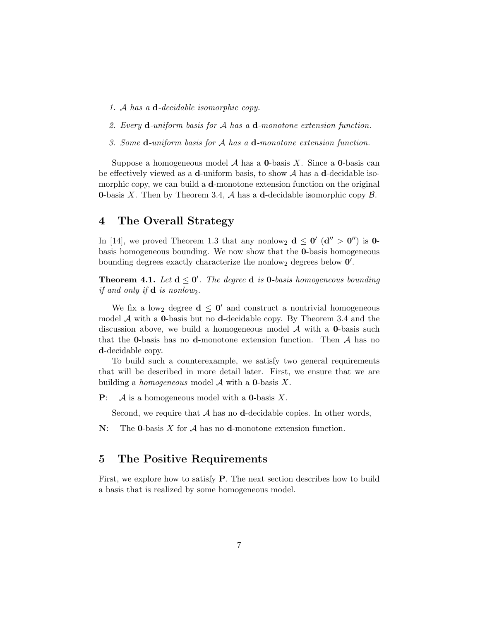- 1. A has a d-decidable isomorphic copy.
- 2. Every d-uniform basis for A has a d-monotone extension function.
- 3. Some d-uniform basis for A has a d-monotone extension function.

Suppose a homogeneous model  $A$  has a **0**-basis X. Since a **0**-basis can be effectively viewed as a **d**-uniform basis, to show  $A$  has a **d**-decidable isomorphic copy, we can build a **d**-monotone extension function on the original **0-basis X.** Then by Theorem 3.4, A has a d-decidable isomorphic copy  $\beta$ .

# 4 The Overall Strategy

In [14], we proved Theorem 1.3 that any nonlow<sub>2</sub>  $d \leq 0'$  ( $d'' > 0''$ ) is 0basis homogeneous bounding. We now show that the 0-basis homogeneous bounding degrees exactly characterize the nonlow<sub>2</sub> degrees below  $0'$ .

**Theorem 4.1.** Let  $d \le 0'$ . The degree **d** is **0**-basis homogeneous bounding if and only if  $\mathbf d$  is nonlow<sub>2</sub>.

We fix a low<sub>2</sub> degree  $d \leq 0'$  and construct a nontrivial homogeneous model  $A$  with a **0**-basis but no **d**-decidable copy. By Theorem 3.4 and the discussion above, we build a homogeneous model  $A$  with a **0**-basis such that the **0**-basis has no **d**-monotone extension function. Then  $A$  has no d-decidable copy.

To build such a counterexample, we satisfy two general requirements that will be described in more detail later. First, we ensure that we are building a *homogeneous* model  $\mathcal A$  with a **0**-basis  $X$ .

**P**:  $\mathcal A$  is a homogeneous model with a **0**-basis X.

Second, we require that  $A$  has no d-decidable copies. In other words,

 $N:$  The **0**-basis X for A has no **d**-monotone extension function.

# 5 The Positive Requirements

First, we explore how to satisfy P. The next section describes how to build a basis that is realized by some homogeneous model.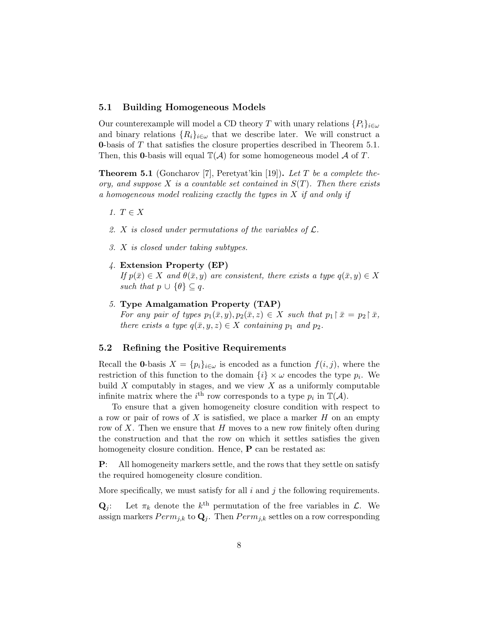## 5.1 Building Homogeneous Models

Our counterexample will model a CD theory T with unary relations  $\{P_i\}_{i\in\omega}$ and binary relations  $\{R_i\}_{i\in\omega}$  that we describe later. We will construct a 0-basis of T that satisfies the closure properties described in Theorem 5.1. Then, this **0**-basis will equal  $\mathbb{T}(\mathcal{A})$  for some homogeneous model A of T.

**Theorem 5.1** (Goncharov [7], Peretyat'kin [19]). Let T be a complete theory, and suppose X is a countable set contained in  $S(T)$ . Then there exists a homogeneous model realizing exactly the types in X if and only if

- 1.  $T \in X$
- 2. X is closed under permutations of the variables of  $\mathcal{L}$ .
- 3. X is closed under taking subtypes.
- 4. Extension Property (EP) If  $p(\bar{x}) \in X$  and  $\theta(\bar{x}, y)$  are consistent, there exists a type  $q(\bar{x}, y) \in X$ such that  $p \cup \{\theta\} \subseteq q$ .
- 5. Type Amalgamation Property (TAP)

For any pair of types  $p_1(\bar{x}, y), p_2(\bar{x}, z) \in X$  such that  $p_1 \upharpoonright \bar{x} = p_2 \upharpoonright \bar{x}$ , there exists a type  $q(\bar{x}, y, z) \in X$  containing  $p_1$  and  $p_2$ .

## 5.2 Refining the Positive Requirements

Recall the 0-basis  $X = \{p_i\}_{i \in \omega}$  is encoded as a function  $f(i, j)$ , where the restriction of this function to the domain  $\{i\} \times \omega$  encodes the type  $p_i$ . We build  $X$  computably in stages, and we view  $X$  as a uniformly computable infinite matrix where the  $i^{\text{th}}$  row corresponds to a type  $p_i$  in  $\mathbb{T}(\mathcal{A})$ .

To ensure that a given homogeneity closure condition with respect to a row or pair of rows of  $X$  is satisfied, we place a marker  $H$  on an empty row of  $X$ . Then we ensure that  $H$  moves to a new row finitely often during the construction and that the row on which it settles satisfies the given homogeneity closure condition. Hence, **P** can be restated as:

P: All homogeneity markers settle, and the rows that they settle on satisfy the required homogeneity closure condition.

More specifically, we must satisfy for all  $i$  and  $j$  the following requirements.

 $\mathbf{Q}_j$ : Let  $\pi_k$  denote the  $k^{\text{th}}$  permutation of the free variables in  $\mathcal{L}$ . We assign markers  $Perm_{j,k}$  to  $\mathbf{Q}_j$ . Then  $Perm_{j,k}$  settles on a row corresponding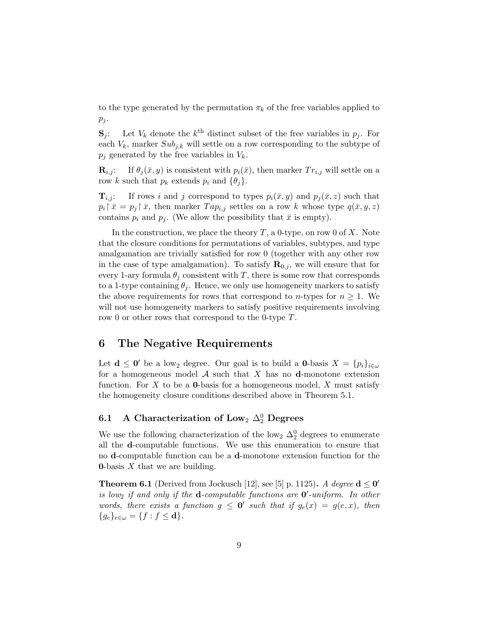to the type generated by the permutation  $\pi_k$  of the free variables applied to  $p_j$ .

 $S_j$ : Let  $V_k$  denote the  $k^{\text{th}}$  distinct subset of the free variables in  $p_j$ . For each  $V_k$ , marker  $Sub_{j,k}$  will settle on a row corresponding to the subtype of  $p_i$  generated by the free variables in  $V_k$ .

 $\mathbf{R}_{i,j}$ : If  $\theta_j(\bar{x}, y)$  is consistent with  $p_i(\bar{x})$ , then marker  $Tr_{i,j}$  will settle on a row k such that  $p_k$  extends  $p_i$  and  $\{\theta_j\}$ .

 $\mathbf{T}_{i,j}$ : If rows i and j correspond to types  $p_i(\bar{x}, y)$  and  $p_j(\bar{x}, z)$  such that  $p_i | \bar{x} = p_j | \bar{x}$ , then marker  $T a p_{i,j}$  settles on a row k whose type  $q(\bar{x}, y, z)$ contains  $p_i$  and  $p_j$ . (We allow the possibility that  $\bar{x}$  is empty).

In the construction, we place the theory  $T$ , a 0-type, on row 0 of  $X$ . Note that the closure conditions for permutations of variables, subtypes, and type amalgamation are trivially satisfied for row 0 (together with any other row in the case of type amalgamation). To satisfy  $\mathbf{R}_{0,j}$ , we will ensure that for every 1-ary formula  $\theta_j$  consistent with T, there is some row that corresponds to a 1-type containing  $\theta_j$ . Hence, we only use homogeneity markers to satisfy the above requirements for rows that correspond to *n*-types for  $n \geq 1$ . We will not use homogeneity markers to satisfy positive requirements involving row 0 or other rows that correspond to the 0-type T.

# 6 The Negative Requirements

Let  $\mathbf{d} \leq \mathbf{0}'$  be a low<sub>2</sub> degree. Our goal is to build a **0**-basis  $X = \{p_i\}_{i \in \omega}$ for a homogeneous model  $A$  such that  $X$  has no **d**-monotone extension function. For X to be a **0**-basis for a homogeneous model, X must satisfy the homogeneity closure conditions described above in Theorem 5.1.

# 6.1 A Characterization of Low<sub>2</sub>  $\Delta_2^0$  Degrees

We use the following characterization of the low<sub>2</sub>  $\Delta_2^0$  degrees to enumerate all the d-computable functions. We use this enumeration to ensure that no d-computable function can be a d-monotone extension function for the **0**-basis  $X$  that we are building.

**Theorem 6.1** (Derived from Jockusch [12], see [5] p. 1125). A degree  $d \le 0'$ is low<sub>2</sub> if and only if the **d**-computable functions are  $0'$ -uniform. In other words, there exists a function  $g \leq 0'$  such that if  $g_e(x) = g(e, x)$ , then  ${g_e}_{e \in \omega} = {f : f \leq \mathbf{d}}.$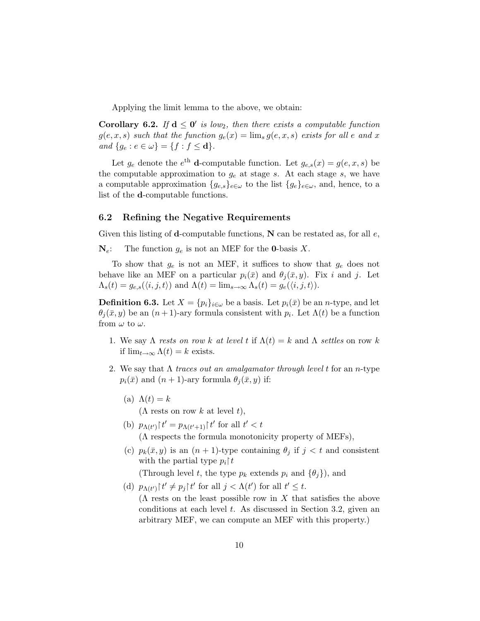Applying the limit lemma to the above, we obtain:

Corollary 6.2. If  $d \leq 0'$  is low<sub>2</sub>, then there exists a computable function  $g(e, x, s)$  such that the function  $g_e(x) = \lim_s g(e, x, s)$  exists for all e and x and  $\{g_e : e \in \omega\} = \{f : f \leq \mathbf{d}\}.$ 

Let  $g_e$  denote the  $e^{\text{th}}$  d-computable function. Let  $g_{e,s}(x) = g(e, x, s)$  be the computable approximation to  $g_e$  at stage s. At each stage s, we have a computable approximation  ${g_{e,s}}_{e \in \omega}$  to the list  ${g_e}_{e \in \omega}$ , and, hence, to a list of the d-computable functions.

## 6.2 Refining the Negative Requirements

Given this listing of **d**-computable functions,  $N$  can be restated as, for all e,

 $N_e$ : The function  $g_e$  is not an MEF for the **0**-basis X.

To show that  $g_e$  is not an MEF, it suffices to show that  $g_e$  does not behave like an MEF on a particular  $p_i(\bar{x})$  and  $\theta_i(\bar{x}, y)$ . Fix i and j. Let  $\Lambda_s(t) = g_{e,s}(\langle i, j, t \rangle)$  and  $\Lambda(t) = \lim_{s \to \infty} \Lambda_s(t) = g_e(\langle i, j, t \rangle)$ .

**Definition 6.3.** Let  $X = \{p_i\}_{i \in \omega}$  be a basis. Let  $p_i(\bar{x})$  be an *n*-type, and let  $\theta_j(\bar{x}, y)$  be an  $(n+1)$ -ary formula consistent with  $p_i$ . Let  $\Lambda(t)$  be a function from  $\omega$  to  $\omega$ .

- 1. We say  $\Lambda$  rests on row k at level t if  $\Lambda(t) = k$  and  $\Lambda$  settles on row k if  $\lim_{t\to\infty} \Lambda(t) = k$  exists.
- 2. We say that  $\Lambda$  traces out an amalgamator through level t for an n-type  $p_i(\bar{x})$  and  $(n + 1)$ -ary formula  $\theta_i(\bar{x}, y)$  if:
	- (a)  $\Lambda(t) = k$

 $(\Lambda$  rests on row k at level t),

- (b)  $p_{\Lambda(t')}$   $\uparrow t' = p_{\Lambda(t'+1)}$   $\uparrow t'$  for all  $t' < t$ (Λ respects the formula monotonicity property of MEFs),
- (c)  $p_k(\bar{x}, y)$  is an  $(n + 1)$ -type containing  $\theta_j$  if  $j < t$  and consistent with the partial type  $p_i\upharpoonright t$

(Through level t, the type  $p_k$  extends  $p_i$  and  $\{\theta_i\}$ ), and

(d)  $p_{\Lambda(t')}$  |  $t' \neq p_j$ |  $t'$  for all  $j < \Lambda(t')$  for all  $t' \leq t$ .  $(\Lambda$  rests on the least possible row in X that satisfies the above conditions at each level  $t$ . As discussed in Section 3.2, given an arbitrary MEF, we can compute an MEF with this property.)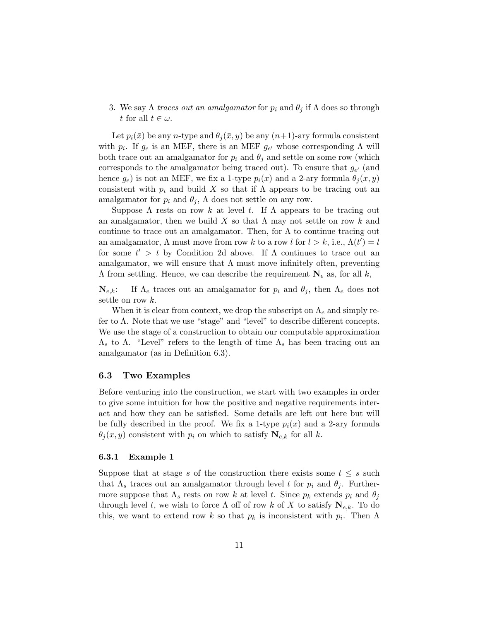3. We say  $\Lambda$  traces out an amalgamator for  $p_i$  and  $\theta_j$  if  $\Lambda$  does so through t for all  $t \in \omega$ .

Let  $p_i(\bar{x})$  be any *n*-type and  $\theta_i(\bar{x}, y)$  be any  $(n+1)$ -ary formula consistent with  $p_i$ . If  $g_e$  is an MEF, there is an MEF  $g_{e'}$  whose corresponding  $\Lambda$  will both trace out an amalgamator for  $p_i$  and  $\theta_j$  and settle on some row (which corresponds to the amalgamator being traced out). To ensure that  $g_{e'}$  (and hence  $g_e$ ) is not an MEF, we fix a 1-type  $p_i(x)$  and a 2-ary formula  $\theta_i(x, y)$ consistent with  $p_i$  and build X so that if  $\Lambda$  appears to be tracing out an amalgamator for  $p_i$  and  $\theta_i$ ,  $\Lambda$  does not settle on any row.

Suppose  $\Lambda$  rests on row k at level t. If  $\Lambda$  appears to be tracing out an amalgamator, then we build X so that  $\Lambda$  may not settle on row k and continue to trace out an amalgamator. Then, for  $\Lambda$  to continue tracing out an amalgamator,  $\Lambda$  must move from row k to a row l for  $l > k$ , i.e.,  $\Lambda(t') = l$ for some  $t' > t$  by Condition 2d above. If  $\Lambda$  continues to trace out an amalgamator, we will ensure that  $\Lambda$  must move infinitely often, preventing  $\Lambda$  from settling. Hence, we can describe the requirement  $N_e$  as, for all k,

 $\mathbf{N}_{e,k}$ : If  $\Lambda_e$  traces out an amalgamator for  $p_i$  and  $\theta_j$ , then  $\Lambda_e$  does not settle on row k.

When it is clear from context, we drop the subscript on  $\Lambda_e$  and simply refer to  $\Lambda$ . Note that we use "stage" and "level" to describe different concepts. We use the stage of a construction to obtain our computable approximation  $Λ<sub>s</sub>$  to Λ. "Level" refers to the length of time  $Λ<sub>s</sub>$  has been tracing out an amalgamator (as in Definition 6.3).

### 6.3 Two Examples

Before venturing into the construction, we start with two examples in order to give some intuition for how the positive and negative requirements interact and how they can be satisfied. Some details are left out here but will be fully described in the proof. We fix a 1-type  $p_i(x)$  and a 2-ary formula  $\theta_j(x, y)$  consistent with  $p_i$  on which to satisfy  $\mathbf{N}_{e,k}$  for all k.

### 6.3.1 Example 1

Suppose that at stage s of the construction there exists some  $t \leq s$  such that  $\Lambda_s$  traces out an amalgamator through level t for  $p_i$  and  $\theta_j$ . Furthermore suppose that  $\Lambda_s$  rests on row k at level t. Since  $p_k$  extends  $p_i$  and  $\theta_j$ through level t, we wish to force  $\Lambda$  off of row k of X to satisfy  $N_{e,k}$ . To do this, we want to extend row k so that  $p_k$  is inconsistent with  $p_i$ . Then  $\Lambda$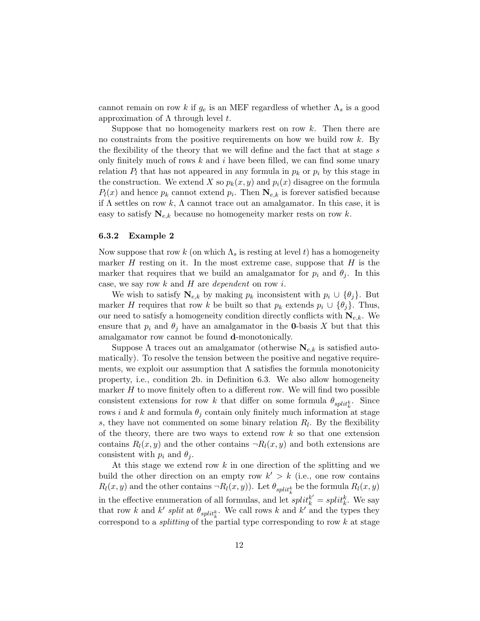cannot remain on row k if  $g_e$  is an MEF regardless of whether  $\Lambda_s$  is a good approximation of  $Λ$  through level  $t$ .

Suppose that no homogeneity markers rest on row  $k$ . Then there are no constraints from the positive requirements on how we build row  $k$ . By the flexibility of the theory that we will define and the fact that at stage  $s$ only finitely much of rows  $k$  and  $i$  have been filled, we can find some unary relation  $P_l$  that has not appeared in any formula in  $p_k$  or  $p_i$  by this stage in the construction. We extend X so  $p_k(x, y)$  and  $p_i(x)$  disagree on the formula  $P_l(x)$  and hence  $p_k$  cannot extend  $p_i$ . Then  $\mathbf{N}_{e,k}$  is forever satisfied because if  $\Lambda$  settles on row k,  $\Lambda$  cannot trace out an amalgamator. In this case, it is easy to satisfy  $N_{e,k}$  because no homogeneity marker rests on row k.

#### 6.3.2 Example 2

Now suppose that row k (on which  $\Lambda_s$  is resting at level t) has a homogeneity marker  $H$  resting on it. In the most extreme case, suppose that  $H$  is the marker that requires that we build an amalgamator for  $p_i$  and  $\theta_i$ . In this case, we say row  $k$  and  $H$  are *dependent* on row  $i$ .

We wish to satisfy  $N_{e,k}$  by making  $p_k$  inconsistent with  $p_i \cup {\theta_i}$ . But marker H requires that row k be built so that  $p_k$  extends  $p_i \cup {\theta_j}$ . Thus, our need to satisfy a homogeneity condition directly conflicts with  $N_{e,k}$ . We ensure that  $p_i$  and  $\theta_j$  have an amalgamator in the **0**-basis X but that this amalgamator row cannot be found d-monotonically.

Suppose  $\Lambda$  traces out an amalgamator (otherwise  $N_{e,k}$  is satisfied automatically). To resolve the tension between the positive and negative requirements, we exploit our assumption that  $\Lambda$  satisfies the formula monotonicity property, i.e., condition 2b. in Definition 6.3. We also allow homogeneity marker  $H$  to move finitely often to a different row. We will find two possible consistent extensions for row k that differ on some formula  $\theta_{split_k^k}$ . Since rows i and k and formula  $\theta_j$  contain only finitely much information at stage s, they have not commented on some binary relation  $R_l$ . By the flexibility of the theory, there are two ways to extend row  $k$  so that one extension contains  $R_l(x, y)$  and the other contains  $\neg R_l(x, y)$  and both extensions are consistent with  $p_i$  and  $\theta_i$ .

At this stage we extend row k in one direction of the splitting and we build the other direction on an empty row  $k' > k$  (i.e., one row contains  $R_l(x, y)$  and the other contains  $\neg R_l(x, y)$ . Let  $\theta_{split_k^k}$  be the formula  $R_l(x, y)$ in the effective enumeration of all formulas, and let  $split_k^{k'} = split_k^k$ . We say that row k and k' split at  $\theta_{split}$ . We call rows k and k' and the types they correspond to a *splitting* of the partial type corresponding to row  $k$  at stage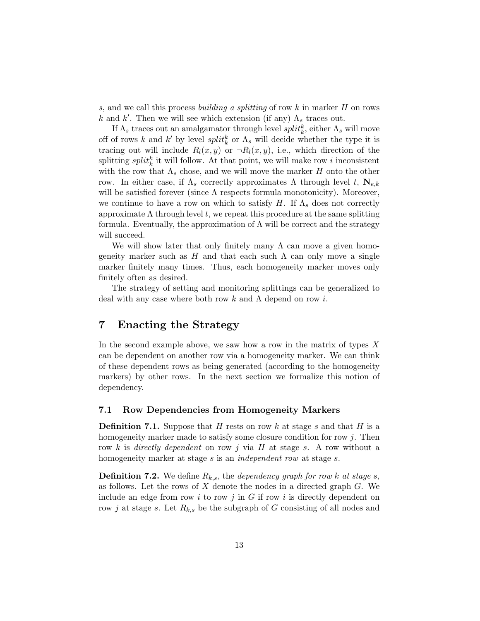s, and we call this process building a splitting of row k in marker  $H$  on rows k and  $k'$ . Then we will see which extension (if any)  $\Lambda_s$  traces out.

If  $\Lambda_s$  traces out an amalgamator through level  $\mathit{split}^k_k$ , either  $\Lambda_s$  will move off of rows k and k' by level  $split_k^k$  or  $\Lambda_s$  will decide whether the type it is tracing out will include  $R_l(x, y)$  or  $\neg R_l(x, y)$ , i.e., which direction of the splitting  $split$  it will follow. At that point, we will make row i inconsistent with the row that  $\Lambda_s$  chose, and we will move the marker H onto the other row. In either case, if  $\Lambda_s$  correctly approximates Λ through level t,  $\mathbf{N}_{e,k}$ will be satisfied forever (since  $\Lambda$  respects formula monotonicity). Moreover, we continue to have a row on which to satisfy H. If  $\Lambda_s$  does not correctly approximate  $\Lambda$  through level t, we repeat this procedure at the same splitting formula. Eventually, the approximation of  $\Lambda$  will be correct and the strategy will succeed.

We will show later that only finitely many  $\Lambda$  can move a given homogeneity marker such as H and that each such  $\Lambda$  can only move a single marker finitely many times. Thus, each homogeneity marker moves only finitely often as desired.

The strategy of setting and monitoring splittings can be generalized to deal with any case where both row k and  $\Lambda$  depend on row i.

# 7 Enacting the Strategy

In the second example above, we saw how a row in the matrix of types  $X$ can be dependent on another row via a homogeneity marker. We can think of these dependent rows as being generated (according to the homogeneity markers) by other rows. In the next section we formalize this notion of dependency.

# 7.1 Row Dependencies from Homogeneity Markers

**Definition 7.1.** Suppose that H rests on row k at stage s and that H is a homogeneity marker made to satisfy some closure condition for row  $j$ . Then row k is directly dependent on row j via  $H$  at stage s. A row without a homogeneity marker at stage s is an *independent row* at stage s.

**Definition 7.2.** We define  $R_{k,s}$ , the *dependency graph for row k at stage s*, as follows. Let the rows of  $X$  denote the nodes in a directed graph  $G$ . We include an edge from row i to row j in G if row i is directly dependent on row j at stage s. Let  $R_{k,s}$  be the subgraph of G consisting of all nodes and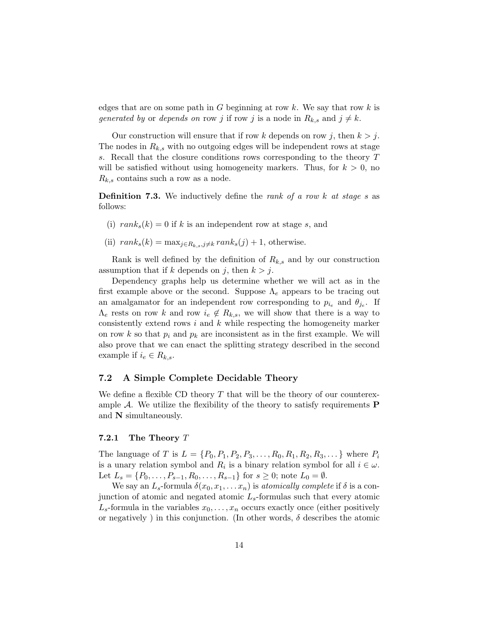edges that are on some path in  $G$  beginning at row  $k$ . We say that row  $k$  is generated by or depends on row j if row j is a node in  $R_{k,s}$  and  $j \neq k$ .

Our construction will ensure that if row k depends on row j, then  $k > j$ . The nodes in  $R_{k,s}$  with no outgoing edges will be independent rows at stage s. Recall that the closure conditions rows corresponding to the theory T will be satisfied without using homogeneity markers. Thus, for  $k > 0$ , no  $R_{k,s}$  contains such a row as a node.

**Definition 7.3.** We inductively define the rank of a row k at stage s as follows:

- (i)  $rank_s(k) = 0$  if k is an independent row at stage s, and
- (ii)  $rank_s(k) = \max_{j \in R_{k,s}, j \neq k} rank_s(j) + 1$ , otherwise.

Rank is well defined by the definition of  $R_{k,s}$  and by our construction assumption that if k depends on j, then  $k > j$ .

Dependency graphs help us determine whether we will act as in the first example above or the second. Suppose  $\Lambda_e$  appears to be tracing out an amalgamator for an independent row corresponding to  $p_{i_e}$  and  $\theta_{j_e}$ . If  $\Lambda_e$  rests on row k and row  $i_e \notin R_{k,s}$ , we will show that there is a way to consistently extend rows i and k while respecting the homogeneity marker on row k so that  $p_i$  and  $p_k$  are inconsistent as in the first example. We will also prove that we can enact the splitting strategy described in the second example if  $i_e \in R_{k,s}$ .

## 7.2 A Simple Complete Decidable Theory

We define a flexible CD theory  $T$  that will be the theory of our counterexample  $A$ . We utilize the flexibility of the theory to satisfy requirements  $P$ and N simultaneously.

## 7.2.1 The Theory  $T$

The language of T is  $L = \{P_0, P_1, P_2, P_3, \ldots, R_0, R_1, R_2, R_3, \ldots\}$  where  $P_i$ is a unary relation symbol and  $R_i$  is a binary relation symbol for all  $i \in \omega$ . Let  $L_s = \{P_0, \ldots, P_{s-1}, R_0, \ldots, R_{s-1}\}\$  for  $s \geq 0$ ; note  $L_0 = \emptyset$ .

We say an  $L_s$ -formula  $\delta(x_0, x_1, \ldots, x_n)$  is atomically complete if  $\delta$  is a conjunction of atomic and negated atomic  $L_s$ -formulas such that every atomic  $L_s$ -formula in the variables  $x_0, \ldots, x_n$  occurs exactly once (either positively or negatively) in this conjunction. (In other words,  $\delta$  describes the atomic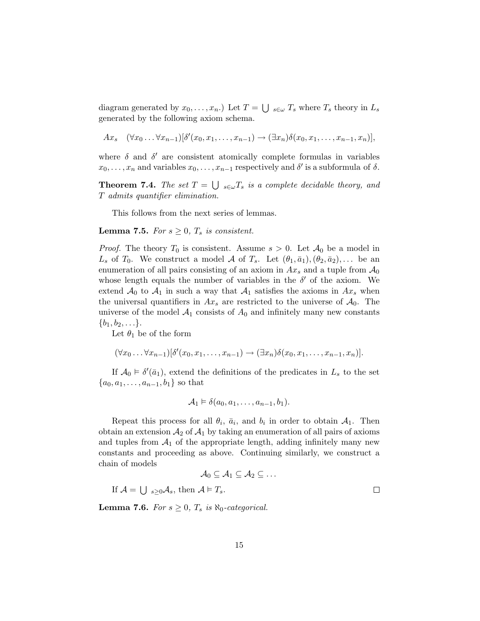diagram generated by  $x_0, \ldots, x_n$ .) Let  $T = \bigcup_{s \in \omega} T_s$  where  $T_s$  theory in  $L_s$ generated by the following axiom schema.

$$
Ax_s \quad (\forall x_0 \ldots \forall x_{n-1})[\delta'(x_0, x_1, \ldots, x_{n-1}) \rightarrow (\exists x_n)\delta(x_0, x_1, \ldots, x_{n-1}, x_n)],
$$

where  $\delta$  and  $\delta'$  are consistent atomically complete formulas in variables  $x_0, \ldots, x_n$  and variables  $x_0, \ldots, x_{n-1}$  respectively and  $\delta'$  is a subformula of  $\delta$ .

**Theorem 7.4.** The set  $T = \bigcup_{s \in \omega} T_s$  is a complete decidable theory, and T admits quantifier elimination.

This follows from the next series of lemmas.

**Lemma 7.5.** For  $s \geq 0$ ,  $T_s$  is consistent.

*Proof.* The theory  $T_0$  is consistent. Assume  $s > 0$ . Let  $\mathcal{A}_0$  be a model in  $L_s$  of  $T_0$ . We construct a model A of  $T_s$ . Let  $(\theta_1, \bar{a}_1), (\theta_2, \bar{a}_2), \ldots$  be an enumeration of all pairs consisting of an axiom in  $Ax_s$  and a tuple from  $\mathcal{A}_0$ whose length equals the number of variables in the  $\delta'$  of the axiom. We extend  $\mathcal{A}_0$  to  $\mathcal{A}_1$  in such a way that  $\mathcal{A}_1$  satisfies the axioms in  $Ax_s$  when the universal quantifiers in  $Ax_s$  are restricted to the universe of  $A_0$ . The universe of the model  $A_1$  consists of  $A_0$  and infinitely many new constants  $\{b_1, b_2, \ldots\}.$ 

Let  $\theta_1$  be of the form

$$
(\forall x_0 \ldots \forall x_{n-1}) [\delta'(x_0, x_1, \ldots, x_{n-1}) \rightarrow (\exists x_n) \delta(x_0, x_1, \ldots, x_{n-1}, x_n)].
$$

If  $\mathcal{A}_0 \models \delta'(\bar{a}_1)$ , extend the definitions of the predicates in  $L_s$  to the set  ${a_0, a_1, \ldots, a_{n-1}, b_1}$  so that

$$
A_1 \vDash \delta(a_0, a_1, \ldots, a_{n-1}, b_1).
$$

Repeat this process for all  $\theta_i$ ,  $\bar{a}_i$ , and  $b_i$  in order to obtain  $\mathcal{A}_1$ . Then obtain an extension  $A_2$  of  $A_1$  by taking an enumeration of all pairs of axioms and tuples from  $A_1$  of the appropriate length, adding infinitely many new constants and proceeding as above. Continuing similarly, we construct a chain of models

$$
\mathcal{A}_0 \subseteq \mathcal{A}_1 \subseteq \mathcal{A}_2 \subseteq \dots
$$

If  $\mathcal{A} = \bigcup_{s \geq 0} \mathcal{A}_s$ , then  $\mathcal{A} \models T_s$ .

**Lemma 7.6.** For  $s \geq 0$ ,  $T_s$  is  $\aleph_0$ -categorical.

 $\Box$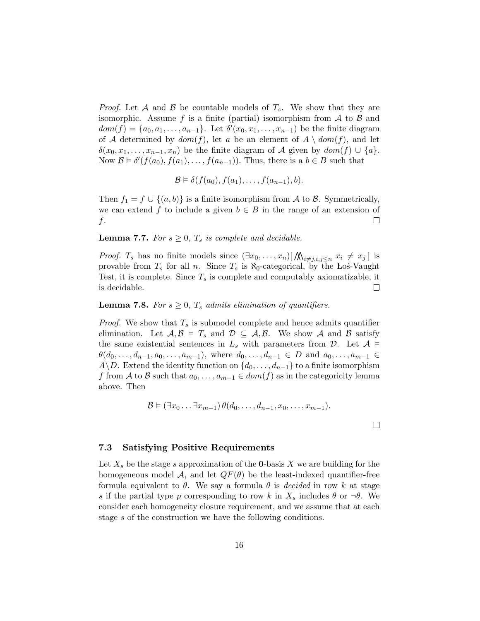*Proof.* Let A and B be countable models of  $T_s$ . We show that they are isomorphic. Assume f is a finite (partial) isomorphism from  $\mathcal A$  to  $\mathcal B$  and  $dom(f) = \{a_0, a_1, \ldots, a_{n-1}\}.$  Let  $\delta'(x_0, x_1, \ldots, x_{n-1})$  be the finite diagram of A determined by  $dom(f)$ , let a be an element of  $A \setminus dom(f)$ , and let  $\delta(x_0, x_1, \ldots, x_{n-1}, x_n)$  be the finite diagram of A given by  $dom(f) \cup \{a\}.$ Now  $\mathcal{B} \models \delta'(f(a_0), f(a_1), \ldots, f(a_{n-1}))$ . Thus, there is a  $b \in B$  such that

$$
\mathcal{B} \models \delta(f(a_0), f(a_1), \ldots, f(a_{n-1}), b).
$$

Then  $f_1 = f \cup \{(a, b)\}\$ is a finite isomorphism from A to B. Symmetrically, we can extend f to include a given  $b \in B$  in the range of an extension of f.  $\Box$ 

**Lemma 7.7.** For  $s \geq 0$ ,  $T_s$  is complete and decidable.

*Proof.*  $T_s$  has no finite models since  $(\exists x_0, \ldots, x_n) [\bigwedge_{i \neq j, i,j \leq n} x_i \neq x_j]$  is provable from  $T_s$  for all n. Since  $T_s$  is  $\aleph_0$ -categorical, by the Los-Vaught Test, it is complete. Since  $T_s$  is complete and computably axiomatizable, it is decidable.  $\Box$ 

# **Lemma 7.8.** For  $s \geq 0$ ,  $T_s$  admits elimination of quantifiers.

*Proof.* We show that  $T_s$  is submodel complete and hence admits quantifier elimination. Let  $A, B \models T_s$  and  $D \subseteq A, B$ . We show A and B satisfy the same existential sentences in  $L_s$  with parameters from  $\mathcal{D}$ . Let  $\mathcal{A} \models$  $\theta(d_0, \ldots, d_{n-1}, a_0, \ldots, a_{m-1}),$  where  $d_0, \ldots, d_{n-1} \in D$  and  $a_0, \ldots, a_{m-1} \in D$ A\D. Extend the identity function on  $\{d_0, \ldots, d_{n-1}\}\$  to a finite isomorphism f from A to B such that  $a_0, \ldots, a_{m-1} \in dom(f)$  as in the categoricity lemma above. Then

$$
\mathcal{B} \models (\exists x_0 \ldots \exists x_{m-1}) \theta(d_0, \ldots, d_{n-1}, x_0, \ldots, x_{m-1}).
$$

7.3 Satisfying Positive Requirements

Let  $X_s$  be the stage s approximation of the **0**-basis X we are building for the homogeneous model A, and let  $QF(\theta)$  be the least-indexed quantifier-free formula equivalent to  $\theta$ . We say a formula  $\theta$  is *decided* in row k at stage s if the partial type p corresponding to row k in  $X_s$  includes  $\theta$  or  $\neg \theta$ . We consider each homogeneity closure requirement, and we assume that at each stage s of the construction we have the following conditions.

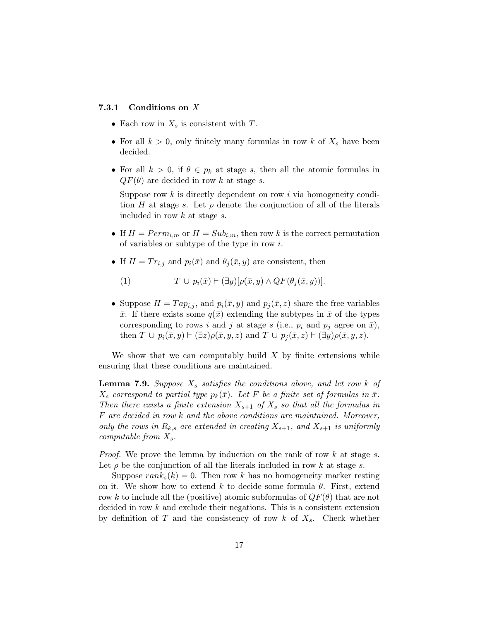## 7.3.1 Conditions on X

- Each row in  $X_s$  is consistent with T.
- For all  $k > 0$ , only finitely many formulas in row k of  $X_s$  have been decided.
- For all  $k > 0$ , if  $\theta \in p_k$  at stage s, then all the atomic formulas in  $QF(\theta)$  are decided in row k at stage s.

Suppose row  $k$  is directly dependent on row  $i$  via homogeneity condition H at stage s. Let  $\rho$  denote the conjunction of all of the literals included in row k at stage s.

- If  $H = Perm_{i,m}$  or  $H = Sub_{i,m}$ , then row k is the correct permutation of variables or subtype of the type in row i.
- If  $H = Tr_{i,j}$  and  $p_i(\bar{x})$  and  $\theta_j(\bar{x}, y)$  are consistent, then

(1)  $T \cup p_i(\bar{x}) \vdash (\exists y)[\rho(\bar{x}, y) \land QF(\theta_i(\bar{x}, y))].$ 

• Suppose  $H = Tap_{i,j}$ , and  $p_i(\bar{x}, y)$  and  $p_j(\bar{x}, z)$  share the free variables  $\bar{x}$ . If there exists some  $q(\bar{x})$  extending the subtypes in  $\bar{x}$  of the types corresponding to rows i and j at stage s (i.e.,  $p_i$  and  $p_j$  agree on  $\bar{x}$ ), then  $T \cup p_i(\bar{x}, y) \vdash (\exists z) \rho(\bar{x}, y, z)$  and  $T \cup p_j(\bar{x}, z) \vdash (\exists y) \rho(\bar{x}, y, z)$ .

We show that we can computably build  $X$  by finite extensions while ensuring that these conditions are maintained.

**Lemma 7.9.** Suppose  $X_s$  satisfies the conditions above, and let row k of  $X_s$  correspond to partial type  $p_k(\bar{x})$ . Let F be a finite set of formulas in  $\bar{x}$ . Then there exists a finite extension  $X_{s+1}$  of  $X_s$  so that all the formulas in F are decided in row k and the above conditions are maintained. Moreover, only the rows in  $R_{k,s}$  are extended in creating  $X_{s+1}$ , and  $X_{s+1}$  is uniformly computable from  $X_s$ .

*Proof.* We prove the lemma by induction on the rank of row  $k$  at stage  $s$ . Let  $\rho$  be the conjunction of all the literals included in row k at stage s.

Suppose  $rank_s(k) = 0$ . Then row k has no homogeneity marker resting on it. We show how to extend k to decide some formula  $\theta$ . First, extend row k to include all the (positive) atomic subformulas of  $QF(\theta)$  that are not decided in row k and exclude their negations. This is a consistent extension by definition of T and the consistency of row k of  $X_s$ . Check whether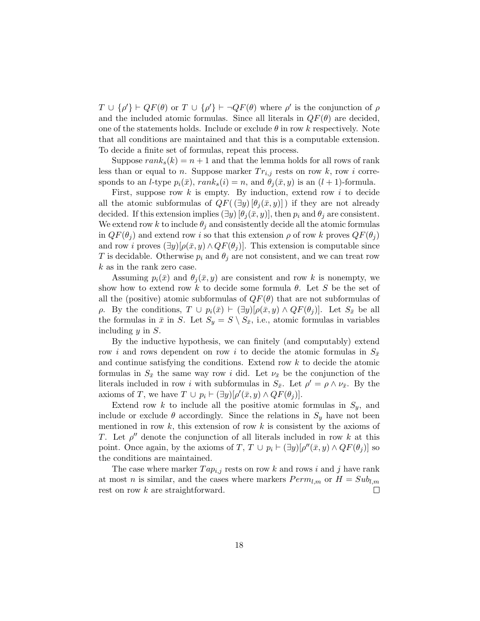$T \cup {\rho'}$  +  $QF(\theta)$  or  $T \cup {\rho'}$  +  $\neg QF(\theta)$  where  $\rho'$  is the conjunction of  $\rho$ and the included atomic formulas. Since all literals in  $QF(\theta)$  are decided, one of the statements holds. Include or exclude  $\theta$  in row k respectively. Note that all conditions are maintained and that this is a computable extension. To decide a finite set of formulas, repeat this process.

Suppose  $rank_s(k) = n + 1$  and that the lemma holds for all rows of rank less than or equal to n. Suppose marker  $Tr_{i,j}$  rests on row k, row i corresponds to an *l*-type  $p_i(\bar{x})$ ,  $rank_s(i) = n$ , and  $\theta_i(\bar{x}, y)$  is an  $(l + 1)$ -formula.

First, suppose row  $k$  is empty. By induction, extend row  $i$  to decide all the atomic subformulas of  $QF((\exists y) [\theta_i(\bar{x}, y)])$  if they are not already decided. If this extension implies  $(\exists y) [\theta_i(\bar{x}, y)]$ , then  $p_i$  and  $\theta_i$  are consistent. We extend row k to include  $\theta_j$  and consistently decide all the atomic formulas in  $QF(\theta_i)$  and extend row i so that this extension  $\rho$  of row k proves  $QF(\theta_i)$ and row *i* proves  $(\exists y)[\rho(\bar{x}, y) \land QF(\theta_j)]$ . This extension is computable since T is decidable. Otherwise  $p_i$  and  $\theta_j$  are not consistent, and we can treat row k as in the rank zero case.

Assuming  $p_i(\bar{x})$  and  $\theta_i(\bar{x}, y)$  are consistent and row k is nonempty, we show how to extend row k to decide some formula  $\theta$ . Let S be the set of all the (positive) atomic subformulas of  $QF(\theta)$  that are not subformulas of ρ. By the conditions,  $T \cup p_i(\bar{x}) \vdash (\exists y)[\rho(\bar{x}, y) \land QF(\theta_i)].$  Let  $S_{\bar{x}}$  be all the formulas in  $\bar{x}$  in S. Let  $S_y = S \setminus S_{\bar{x}}$ , i.e., atomic formulas in variables including y in S.

By the inductive hypothesis, we can finitely (and computably) extend row i and rows dependent on row i to decide the atomic formulas in  $S_{\bar{x}}$ and continue satisfying the conditions. Extend row k to decide the atomic formulas in  $S_{\bar{x}}$  the same way row i did. Let  $\nu_{\bar{x}}$  be the conjunction of the literals included in row *i* with subformulas in  $S_{\bar{x}}$ . Let  $\rho' = \rho \wedge \nu_{\bar{x}}$ . By the axioms of T, we have  $T \cup p_i \vdash (\exists y)[\rho'(\bar{x}, y) \land QF(\theta_j)].$ 

Extend row  $k$  to include all the positive atomic formulas in  $S_y$ , and include or exclude  $\theta$  accordingly. Since the relations in  $S_y$  have not been mentioned in row  $k$ , this extension of row  $k$  is consistent by the axioms of T. Let  $\rho''$  denote the conjunction of all literals included in row k at this point. Once again, by the axioms of  $T, T \cup p_i \vdash (\exists y)[\rho''(\bar{x}, y) \land QF(\theta_j)]$  so the conditions are maintained.

The case where marker  $Tap_{i,j}$  rests on row k and rows i and j have rank at most *n* is similar, and the cases where markers  $Perm_{l,m}$  or  $H = Sub_{l,m}$ rest on row k are straightforward.  $\Box$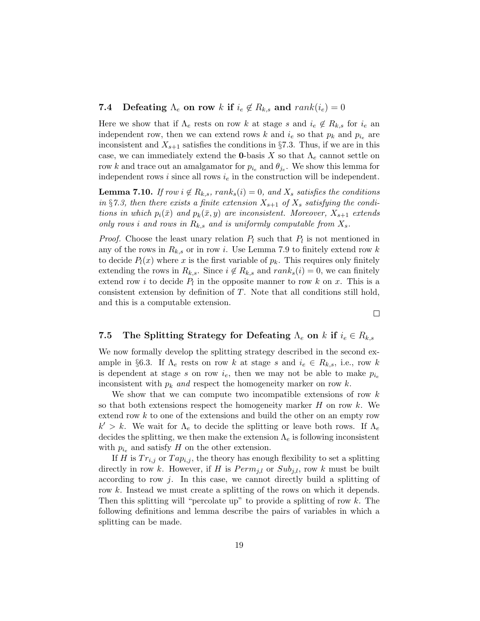# **7.4** Defeating  $\Lambda_e$  on row k if  $i_e \notin R_{k,s}$  and  $rank(i_e) = 0$

Here we show that if  $\Lambda_e$  rests on row k at stage s and  $i_e \notin R_{k,s}$  for  $i_e$  and independent row, then we can extend rows k and  $i_e$  so that  $p_k$  and  $p_{i_e}$  are inconsistent and  $X_{s+1}$  satisfies the conditions in §7.3. Thus, if we are in this case, we can immediately extend the **0**-basis X so that  $\Lambda_e$  cannot settle on row k and trace out an amalgamator for  $p_{i_e}$  and  $\theta_{j_e}$ . We show this lemma for independent rows i since all rows  $i_e$  in the construction will be independent.

**Lemma 7.10.** If row  $i \notin R_{k,s}$ , rank<sub>s</sub> $(i) = 0$ , and  $X_s$  satisfies the conditions in §7.3, then there exists a finite extension  $X_{s+1}$  of  $X_s$  satisfying the conditions in which  $p_i(\bar{x})$  and  $p_k(\bar{x}, y)$  are inconsistent. Moreover,  $X_{s+1}$  extends only rows i and rows in  $R_{k,s}$  and is uniformly computable from  $X_s$ .

*Proof.* Choose the least unary relation  $P_l$  such that  $P_l$  is not mentioned in any of the rows in  $R_{k,s}$  or in row i. Use Lemma 7.9 to finitely extend row k to decide  $P_l(x)$  where x is the first variable of  $p_k$ . This requires only finitely extending the rows in  $R_{k,s}$ . Since  $i \notin R_{k,s}$  and  $rank_s(i) = 0$ , we can finitely extend row i to decide  $P_l$  in the opposite manner to row k on x. This is a consistent extension by definition of T. Note that all conditions still hold, and this is a computable extension.

 $\Box$ 

# 7.5 The Splitting Strategy for Defeating  $\Lambda_e$  on k if  $i_e \in R_{k,s}$

We now formally develop the splitting strategy described in the second example in §6.3. If  $\Lambda_e$  rests on row k at stage s and  $i_e \in R_{k,s}$ , i.e., row k is dependent at stage s on row  $i_e$ , then we may not be able to make  $p_{i_e}$ inconsistent with  $p_k$  and respect the homogeneity marker on row k.

We show that we can compute two incompatible extensions of row  $k$ so that both extensions respect the homogeneity marker  $H$  on row  $k$ . We extend row k to one of the extensions and build the other on an empty row  $k' > k$ . We wait for  $\Lambda_e$  to decide the splitting or leave both rows. If  $\Lambda_e$ decides the splitting, we then make the extension  $\Lambda_e$  is following inconsistent with  $p_{i_e}$  and satisfy H on the other extension.

If H is  $Tr_{i,j}$  or  $Tap_{i,j}$ , the theory has enough flexibility to set a splitting directly in row k. However, if H is  $Perm_{i,l}$  or  $Sub_{i,l}$ , row k must be built according to row  $i$ . In this case, we cannot directly build a splitting of row k. Instead we must create a splitting of the rows on which it depends. Then this splitting will "percolate up" to provide a splitting of row  $k$ . The following definitions and lemma describe the pairs of variables in which a splitting can be made.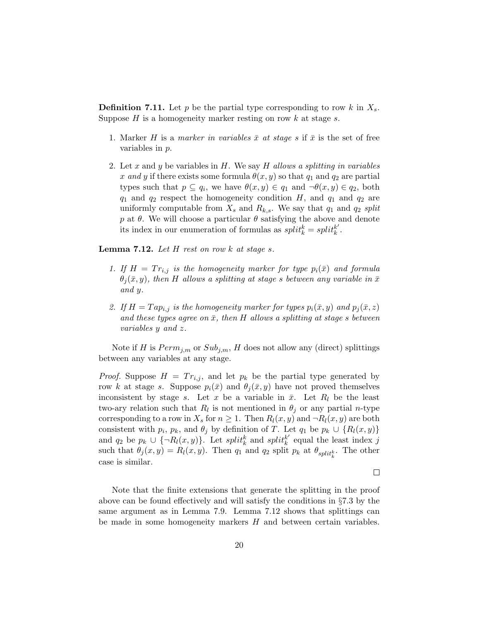**Definition 7.11.** Let p be the partial type corresponding to row k in  $X_s$ . Suppose  $H$  is a homogeneity marker resting on row  $k$  at stage  $s$ .

- 1. Marker H is a marker in variables  $\bar{x}$  at stage s if  $\bar{x}$  is the set of free variables in p.
- 2. Let x and y be variables in  $H$ . We say  $H$  allows a splitting in variables x and y if there exists some formula  $\theta(x, y)$  so that  $q_1$  and  $q_2$  are partial types such that  $p \subseteq q_i$ , we have  $\theta(x, y) \in q_1$  and  $\neg \theta(x, y) \in q_2$ , both  $q_1$  and  $q_2$  respect the homogeneity condition H, and  $q_1$  and  $q_2$  are uniformly computable from  $X_s$  and  $R_{k,s}$ . We say that  $q_1$  and  $q_2$  split p at  $\theta$ . We will choose a particular  $\theta$  satisfying the above and denote its index in our enumeration of formulas as  $split_k^k = split_k^k$  $\frac{k'}{k}$ .

**Lemma 7.12.** Let  $H$  rest on row  $k$  at stage  $s$ .

- 1. If  $H = Tr_{i,j}$  is the homogeneity marker for type  $p_i(\bar{x})$  and formula  $\theta_i(\bar{x}, y)$ , then H allows a splitting at stage s between any variable in  $\bar{x}$ and y.
- 2. If  $H = T a p_{i,j}$  is the homogeneity marker for types  $p_i(\bar{x}, y)$  and  $p_j(\bar{x}, z)$ and these types agree on  $\bar{x}$ , then H allows a splitting at stage s between variables y and z.

Note if H is  $Perm_{j,m}$  or  $Sub_{j,m}$ , H does not allow any (direct) splittings between any variables at any stage.

*Proof.* Suppose  $H = Tr_{i,j}$ , and let  $p_k$  be the partial type generated by row k at stage s. Suppose  $p_i(\bar{x})$  and  $\theta_i(\bar{x}, y)$  have not proved themselves inconsistent by stage s. Let x be a variable in  $\bar{x}$ . Let  $R_l$  be the least two-ary relation such that  $R_l$  is not mentioned in  $\theta_j$  or any partial *n*-type corresponding to a row in  $X_s$  for  $n \geq 1$ . Then  $R_l(x, y)$  and  $\neg R_l(x, y)$  are both consistent with  $p_i$ ,  $p_k$ , and  $\theta_j$  by definition of T. Let  $q_1$  be  $p_k \cup \{R_l(x,y)\}\$ and  $q_2$  be  $p_k \cup {\lbrace \neg R_l(x,y) \rbrace}$ . Let split<sup>k</sup> and split<sup>k'</sup>  $k \atop k$  equal the least index j such that  $\theta_j(x, y) = R_l(x, y)$ . Then  $q_1$  and  $q_2$  split  $p_k$  at  $\theta_{split_k^k}$ . The other case is similar.

 $\Box$ 

Note that the finite extensions that generate the splitting in the proof above can be found effectively and will satisfy the conditions in §7.3 by the same argument as in Lemma 7.9. Lemma 7.12 shows that splittings can be made in some homogeneity markers H and between certain variables.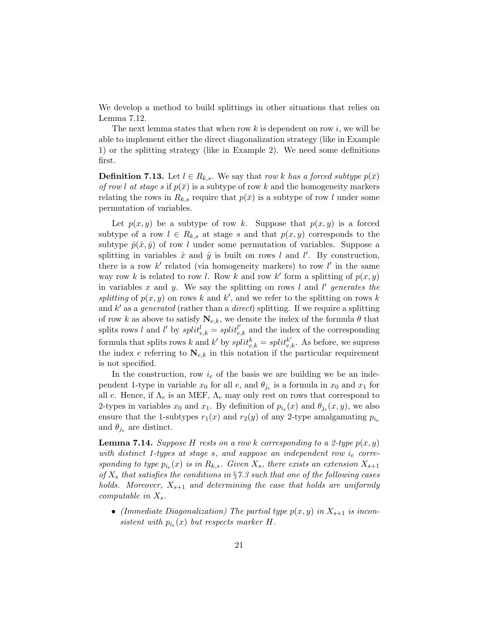We develop a method to build splittings in other situations that relies on Lemma 7.12.

The next lemma states that when row  $k$  is dependent on row  $i$ , we will be able to implement either the direct diagonalization strategy (like in Example 1) or the splitting strategy (like in Example 2). We need some definitions first.

**Definition 7.13.** Let  $l \in R_{k,s}$ . We say that row k has a forced subtype  $p(\bar{x})$ of row l at stage s if  $p(\bar{x})$  is a subtype of row k and the homogeneity markers relating the rows in  $R_{k,s}$  require that  $p(\bar{x})$  is a subtype of row l under some permutation of variables.

Let  $p(x, y)$  be a subtype of row k. Suppose that  $p(x, y)$  is a forced subtype of a row  $l \in R_{k,s}$  at stage s and that  $p(x, y)$  corresponds to the subtype  $\hat{p}(\hat{x}, \hat{y})$  of row l under some permutation of variables. Suppose a splitting in variables  $\hat{x}$  and  $\hat{y}$  is built on rows l and l'. By construction, there is a row  $k'$  related (via homogeneity markers) to row  $l'$  in the same way row k is related to row l. Row k and row k' form a splitting of  $p(x, y)$ in variables  $x$  and  $y$ . We say the splitting on rows  $l$  and  $l'$  generates the splitting of  $p(x, y)$  on rows k and k', and we refer to the splitting on rows k and  $k'$  as a *generated* (rather than a *direct*) splitting. If we require a splitting of row k as above to satisfy  $N_{e,k}$ , we denote the index of the formula  $\theta$  that splits rows l and l' by  $split_{e,k}^l = split_{e,k}^{l'}$  and the index of the corresponding formula that splits rows k and k' by  $split_{e,k}^k = split_{e,k}^{k'}$ . As before, we supress the index e referring to  $N_{e,k}$  in this notation if the particular requirement is not specified.

In the construction, row  $i_e$  of the basis we are building we be an independent 1-type in variable  $x_0$  for all  $e$ , and  $\theta_{j_e}$  is a formula in  $x_0$  and  $x_1$  for all e. Hence, if  $\Lambda_e$  is an MEF,  $\Lambda_e$  may only rest on rows that correspond to 2-types in variables  $x_0$  and  $x_1$ . By definition of  $p_{i_e}(x)$  and  $\theta_{j_e}(x, y)$ , we also ensure that the 1-subtypes  $r_1(x)$  and  $r_2(y)$  of any 2-type amalgamating  $p_{i_e}$ and  $\theta_{j_e}$  are distinct.

**Lemma 7.14.** Suppose H rests on a row k corresponding to a 2-type  $p(x, y)$ with distinct 1-types at stage s, and suppose an independent row  $i_e$  corresponding to type  $p_{i_e}(x)$  is in  $R_{k,s}$ . Given  $X_s$ , there exists an extension  $X_{s+1}$ of  $X_s$  that satisfies the conditions in §7.3 such that one of the following cases holds. Moreover,  $X_{s+1}$  and determining the case that holds are uniformly computable in  $X_s$ .

• (Immediate Diagonalization) The partial type  $p(x, y)$  in  $X_{s+1}$  is inconsistent with  $p_{i_e}(x)$  but respects marker H.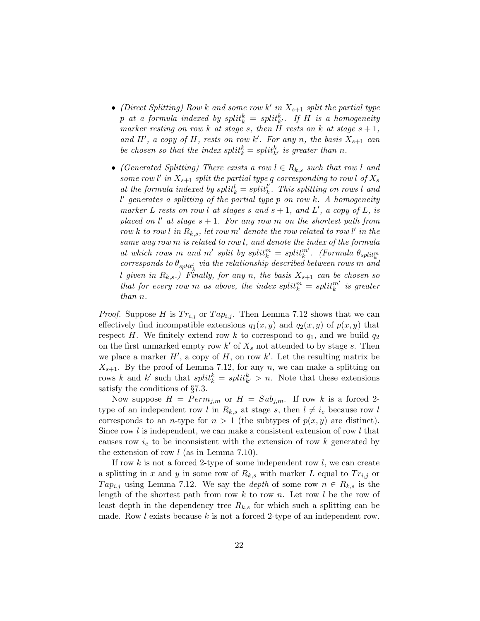- (Direct Splitting) Row k and some row k' in  $X_{s+1}$  split the partial type  $p$  at a formula indexed by  $split_{k}^{k} = \,split_{k}^{k}.$  If H is a homogeneity marker resting on row k at stage s, then H rests on k at stage  $s + 1$ , and H', a copy of H, rests on row k'. For any n, the basis  $X_{s+1}$  can be chosen so that the index  $split_k^k = split_{k'}^k$  is greater than n.
- (Generated Splitting) There exists a row  $l \in R_{k,s}$  such that row l and some row l' in  $X_{s+1}$  split the partial type q corresponding to row l of  $X_s$ at the formula indexed by  $split_k^l = split_k^{l'}$  $\frac{l'}{k}$ . This splitting on rows l and  $l'$  generates a splitting of the partial type p on row k. A homogeneity marker L rests on row l at stages s and  $s + 1$ , and  $L'$ , a copy of L, is placed on  $l'$  at stage  $s + 1$ . For any row m on the shortest path from row k to row l in  $R_{k,s}$ , let row m' denote the row related to row l' in the same way row m is related to row l, and denote the index of the formula at which rows m and m' split by  $split_k^m = split_k^{m'}$ . (Formula  $\theta_{split_k^m}$  $\emph{corresponds to $\theta_{split}'_k$ via the relationship described between rows $m$ and}$ l given in  $R_{k,s}$ .) Finally, for any n, the basis  $X_{s+1}$  can be chosen so that for every row m as above, the index  $split_k^m = split_k^{m'}$  is greater than n.

*Proof.* Suppose H is  $Tr_{i,j}$  or  $Tap_{i,j}$ . Then Lemma 7.12 shows that we can effectively find incompatible extensions  $q_1(x, y)$  and  $q_2(x, y)$  of  $p(x, y)$  that respect H. We finitely extend row k to correspond to  $q_1$ , and we build  $q_2$ on the first unmarked empty row  $k'$  of  $X_s$  not attended to by stage s. Then we place a marker  $H'$ , a copy of  $H$ , on row  $k'$ . Let the resulting matrix be  $X_{s+1}$ . By the proof of Lemma 7.12, for any n, we can make a splitting on rows k and k' such that  $split_k^k = split_{k'}^k > n$ . Note that these extensions satisfy the conditions of §7.3.

Now suppose  $H = Perm_{j,m}$  or  $H = Sub_{j,m}$ . If row k is a forced 2type of an independent row l in  $R_{k,s}$  at stage s, then  $l \neq i_e$  because row l corresponds to an *n*-type for  $n > 1$  (the subtypes of  $p(x, y)$  are distinct). Since row  $l$  is independent, we can make a consistent extension of row  $l$  that causes row  $i_e$  to be inconsistent with the extension of row k generated by the extension of row  $l$  (as in Lemma 7.10).

If row  $k$  is not a forced 2-type of some independent row  $l$ , we can create a splitting in x and y in some row of  $R_{k,s}$  with marker L equal to  $Tr_{i,j}$  or  $Tap_{i,j}$  using Lemma 7.12. We say the *depth* of some row  $n \in R_{k,s}$  is the length of the shortest path from row  $k$  to row  $n$ . Let row  $l$  be the row of least depth in the dependency tree  $R_{k,s}$  for which such a splitting can be made. Row l exists because k is not a forced 2-type of an independent row.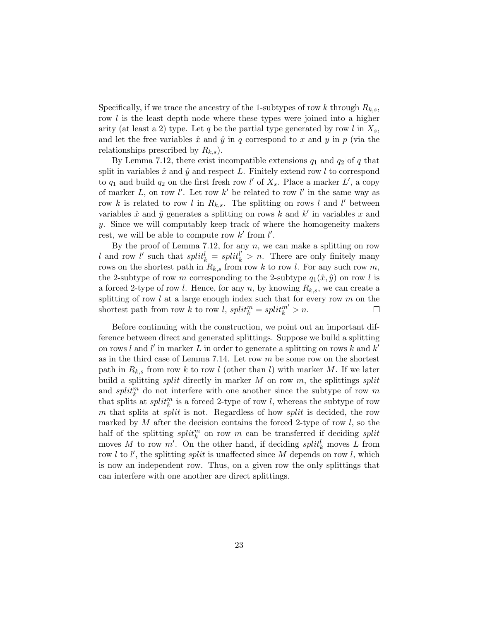Specifically, if we trace the ancestry of the 1-subtypes of row k through  $R_{k,s}$ , row l is the least depth node where these types were joined into a higher arity (at least a 2) type. Let q be the partial type generated by row l in  $X_s$ , and let the free variables  $\hat{x}$  and  $\hat{y}$  in q correspond to x and y in p (via the relationships prescribed by  $R_{k,s}$ ).

By Lemma 7.12, there exist incompatible extensions  $q_1$  and  $q_2$  of q that split in variables  $\hat{x}$  and  $\hat{y}$  and respect L. Finitely extend row l to correspond to  $q_1$  and build  $q_2$  on the first fresh row l' of  $X_s$ . Place a marker L', a copy of marker L, on row l'. Let row k' be related to row l' in the same way as row k is related to row l in  $R_{k,s}$ . The splitting on rows l and l' between variables  $\hat{x}$  and  $\hat{y}$  generates a splitting on rows k and k' in variables x and y. Since we will computably keep track of where the homogeneity makers rest, we will be able to compute row  $k'$  from  $l'$ .

By the proof of Lemma 7.12, for any  $n$ , we can make a splitting on row l and row l' such that  $split_k^l = split_k^{l'} > n$ . There are only finitely many rows on the shortest path in  $R_{k,s}$  from row k to row l. For any such row m, the 2-subtype of row m corresponding to the 2-subtype  $q_1(\hat{x}, \hat{y})$  on row l is a forced 2-type of row *l*. Hence, for any *n*, by knowing  $R_{k,s}$ , we can create a splitting of row  $l$  at a large enough index such that for every row  $m$  on the shortest path from row k to row l,  $split_k^m = split_k^{m'} > n$ .  $\Box$ 

Before continuing with the construction, we point out an important difference between direct and generated splittings. Suppose we build a splitting on rows l and l' in marker L in order to generate a splitting on rows k and  $k'$ as in the third case of Lemma 7.14. Let row  $m$  be some row on the shortest path in  $R_{k,s}$  from row k to row l (other than l) with marker M. If we later build a splitting *split* directly in marker M on row m, the splittings *split* and  $split_k^m$  do not interfere with one another since the subtype of row m that splits at  $split_k^m$  is a forced 2-type of row l, whereas the subtype of row m that splits at *split* is not. Regardless of how *split* is decided, the row marked by  $M$  after the decision contains the forced 2-type of row  $l$ , so the half of the splitting  $split_{k}^{m}$  on row m can be transferred if deciding split moves M to row  $m'$ . On the other hand, if deciding  $split_k^l$  moves L from row  $l$  to  $l'$ , the splitting *split* is unaffected since M depends on row  $l$ , which is now an independent row. Thus, on a given row the only splittings that can interfere with one another are direct splittings.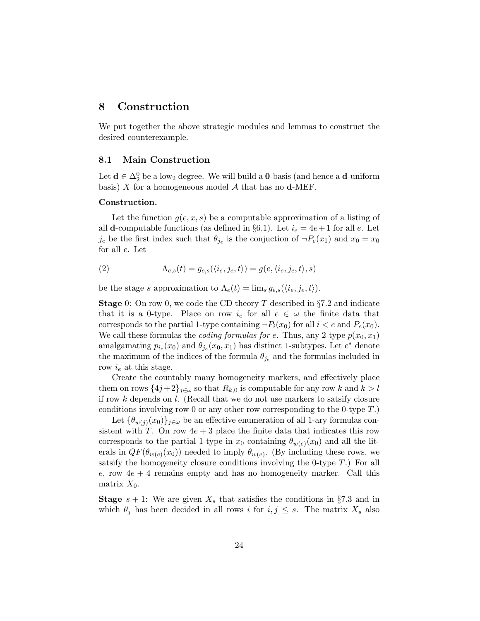# 8 Construction

We put together the above strategic modules and lemmas to construct the desired counterexample.

## 8.1 Main Construction

Let  $\mathbf{d} \in \Delta_2^0$  be a low<sub>2</sub> degree. We will build a **0**-basis (and hence a **d**-uniform basis)  $X$  for a homogeneous model  $A$  that has no **d**-MEF.

#### Construction.

Let the function  $g(e, x, s)$  be a computable approximation of a listing of all **d**-computable functions (as defined in §6.1). Let  $i_e = 4e + 1$  for all e. Let  $j_e$  be the first index such that  $\theta_{j_e}$  is the conjuction of  $\neg P_e(x_1)$  and  $x_0 = x_0$ for all e. Let

(2) 
$$
\Lambda_{e,s}(t) = g_{e,s}(\langle i_e, j_e, t \rangle) = g(e, \langle i_e, j_e, t \rangle, s)
$$

be the stage s approximation to  $\Lambda_e(t) = \lim_{s \to e} g_{e,s}(\langle i_e, j_e, t \rangle).$ 

**Stage** 0: On row 0, we code the CD theory T described in  $\S7.2$  and indicate that it is a 0-type. Place on row  $i_e$  for all  $e \in \omega$  the finite data that corresponds to the partial 1-type containing  $\neg P_i(x_0)$  for all  $i < e$  and  $P_e(x_0)$ . We call these formulas the *coding formulas for e*. Thus, any 2-type  $p(x_0, x_1)$ amalgamating  $p_{i_e}(x_0)$  and  $\theta_{j_e}(x_0, x_1)$  has distinct 1-subtypes. Let  $e^*$  denote the maximum of the indices of the formula  $\theta_{j_e}$  and the formulas included in row  $i_e$  at this stage.

Create the countably many homogeneity markers, and effectively place them on rows  $\{4j+2\}_{j\in\omega}$  so that  $R_{k,0}$  is computable for any row k and  $k > l$ if row  $k$  depends on  $l$ . (Recall that we do not use markers to satsify closure conditions involving row 0 or any other row corresponding to the 0-type T.)

Let  $\{\theta_{w(j)}(x_0)\}_{j\in\omega}$  be an effective enumeration of all 1-ary formulas consistent with T. On row  $4e + 3$  place the finite data that indicates this row corresponds to the partial 1-type in  $x_0$  containing  $\theta_{w(e)}(x_0)$  and all the literals in  $QF(\theta_{w(e)}(x_0))$  needed to imply  $\theta_{w(e)}$ . (By including these rows, we satsify the homogeneity closure conditions involving the 0-type  $T$ .) For all e, row  $4e + 4$  remains empty and has no homogeneity marker. Call this matrix  $X_0$ .

**Stage**  $s + 1$ : We are given  $X_s$  that satisfies the conditions in §7.3 and in which  $\theta_j$  has been decided in all rows i for  $i, j \leq s$ . The matrix  $X_s$  also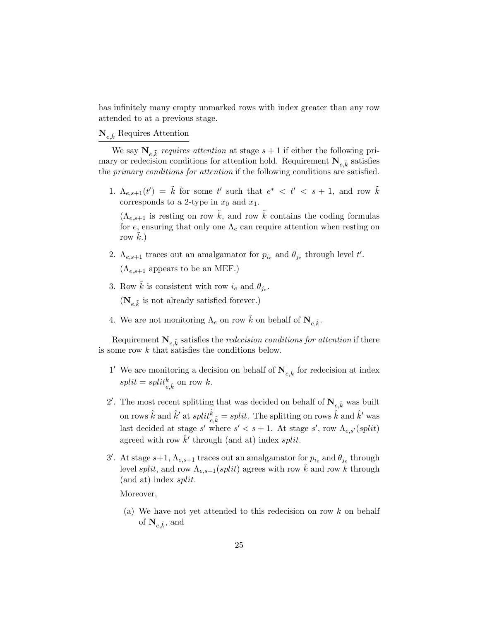has infinitely many empty unmarked rows with index greater than any row attended to at a previous stage.

# $N_{e,\tilde{k}}$  Requires Attention

We say  $\mathbf{N}_{e,\tilde{k}}$  requires attention at stage  $s+1$  if either the following primary or redecision conditions for attention hold. Requirement  $\mathbf{N}_{e,\tilde{k}}$  satisfies the primary conditions for attention if the following conditions are satisfied.

1.  $\Lambda_{e,s+1}(t') = \tilde{k}$  for some t' such that  $e^* \leq t' \leq s+1$ , and row  $\tilde{k}$ corresponds to a 2-type in  $x_0$  and  $x_1$ .

 $(\Lambda_{e,s+1}$  is resting on row  $\tilde{k}$ , and row  $\tilde{k}$  contains the coding formulas for e, ensuring that only one  $\Lambda_e$  can require attention when resting on row  $k.$ )

- 2.  $\Lambda_{e,s+1}$  traces out an amalgamator for  $p_{i_e}$  and  $\theta_{j_e}$  through level t'.  $(\Lambda_{e,s+1}$  appears to be an MEF.)
- 3. Row  $\tilde{k}$  is consistent with row  $i_e$  and  $\theta_{je}$ .

 $(\mathbf{N}_{e,\tilde{k}}% ,\mathbf{N}_{e,\tilde{k}})$  is not already satisfied forever.)

4. We are not monitoring  $\Lambda_e$  on row  $\tilde{k}$  on behalf of  $\mathbf{N}_{e,\tilde{k}}$ .

Requirement  $\mathbf{N}_{e,\tilde{k}}$  satisfies the *redecision conditions for attention* if there is some row k that satisfies the conditions below.

- 1' We are monitoring a decision on behalf of  $\mathbf{N}_{e,\tilde{k}}$  for redecision at index  $split = split_{e,\tilde{k}}^k$  on row k.
- 2'. The most recent splitting that was decided on behalf of  $\mathbf{N}_{e,\tilde{k}}$  was built on rows  $\hat{k}$  and  $\hat{k}'$  at  $split \hat{t}^i_{e,\tilde{k}} = split$ . The splitting on rows  $\hat{k}$  and  $\hat{k}'$  was last decided at stage s' where  $s' < s + 1$ . At stage s', row  $\Lambda_{e,s'}(split)$ agreed with row  $\hat{k}'$  through (and at) index *split*.
- 3'. At stage  $s+1$ ,  $\Lambda_{e,s+1}$  traces out an amalgamator for  $p_{i_e}$  and  $\theta_{j_e}$  through level split, and row  $\Lambda_{e,s+1}(split)$  agrees with row  $\hat{k}$  and row k through  $(and at) index split.$

Moreover,

(a) We have not yet attended to this redecision on row k on behalf of  $\mathbf{N}_{e,\tilde{k}},$  and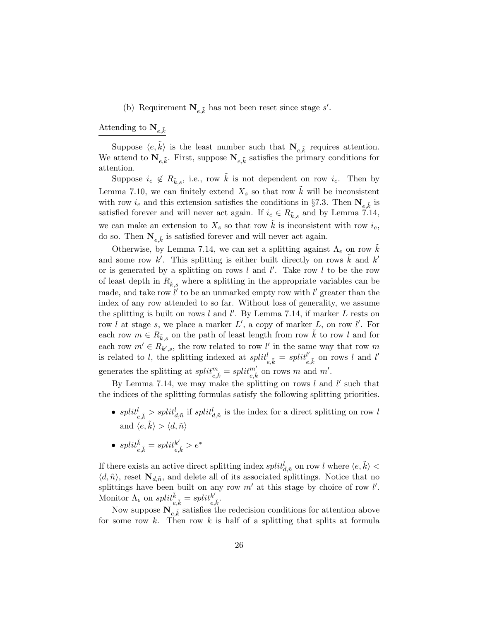(b) Requirement  $\mathbf{N}_{e,\tilde{k}}$  has not been reset since stage s'.

Attending to  $\mathbf{N}_{e,\tilde{k}}$ 

Suppose  $\langle e, \tilde{k} \rangle$  is the least number such that  $N_{e, \tilde{k}}$  requires attention. We attend to  $\mathbf{N}_{e,\tilde{k}}$ . First, suppose  $\mathbf{N}_{e,\tilde{k}}$  satisfies the primary conditions for attention.

Suppose  $i_e \notin R_{\tilde{k},s}$ , i.e., row  $\tilde{k}$  is not dependent on row  $i_e$ . Then by Lemma 7.10, we can finitely extend  $X_s$  so that row  $\overline{k}$  will be inconsistent with row  $i_e$  and this extension satisfies the conditions in §7.3. Then  $\mathbf{N}_{e,\tilde{k}}$  is satisfied forever and will never act again. If  $i_e \in R_{\tilde{k},s}$  and by Lemma 7.14, we can make an extension to  $X_s$  so that row  $\overline{k}$  is inconsistent with row  $i_e$ , do so. Then  $N_{e,\tilde{k}}$  is satisfied forever and will never act again.

Otherwise, by Lemma 7.14, we can set a splitting against  $\Lambda_e$  on row k and some row k'. This splitting is either built directly on rows  $\tilde{k}$  and k' or is generated by a splitting on rows  $l$  and  $l'$ . Take row  $l$  to be the row of least depth in  $R_{\tilde{k},s}$  where a splitting in the appropriate variables can be made, and take row  $\hat{l}'$  to be an unmarked empty row with  $l'$  greater than the index of any row attended to so far. Without loss of generality, we assume the splitting is built on rows  $l$  and  $l'$ . By Lemma 7.14, if marker  $L$  rests on row l at stage s, we place a marker  $L'$ , a copy of marker L, on row l'. For each row  $m \in R_{\tilde{k},s}$  on the path of least length from row k to row l and for each row  $m' \in R_{k',s}$ , the row related to row l' in the same way that row m is related to l, the splitting indexed at  $split_{e,\tilde{k}}^{il} = split_{e}^{l'}$  $l'_{e,\tilde{k}}$  on rows l and l' generates the splitting at  $split^m_{e,\tilde{k}} = split^{m'}_{e,\tilde{k}}$  on rows m and m'.

By Lemma 7.14, we may make the splitting on rows  $l$  and  $l'$  such that the indices of the splitting formulas satisfy the following splitting priorities.

- $split_{e,\tilde{k}} > split_{d,\tilde{n}}^{l}$  if  $split_{d,\tilde{n}}^{l}$  is the index for a direct splitting on row l and  $\langle e, \tilde{k} \rangle > \langle d, \tilde{n} \rangle$
- $split_{e,\tilde{k}}^{\tilde{k}} = split_{e,\tilde{k}}^{k'} > e^*$

If there exists an active direct splitting index  $split_{d,\tilde{n}}^l$  on row  $l$  where  $\langle e, \tilde{k} \rangle <$  $\langle d, \tilde{n} \rangle$ , reset  $\mathbf{N}_{d,\tilde{n}}$ , and delete all of its associated splittings. Notice that no splittings have been built on any row  $m'$  at this stage by choice of row  $l'$ . Monitor  $\Lambda_e$  on  $split_{e,\tilde{k}}^{\tilde{k}} = split_{e,\tilde{k}}^{k'}$  $_{e,\tilde{k}}^{\kappa^{\prime}}.$ 

Now suppose  $\mathbf{N}_{e,\tilde{k}}$  satisfies the redecision conditions for attention above for some row k. Then row k is half of a splitting that splits at formula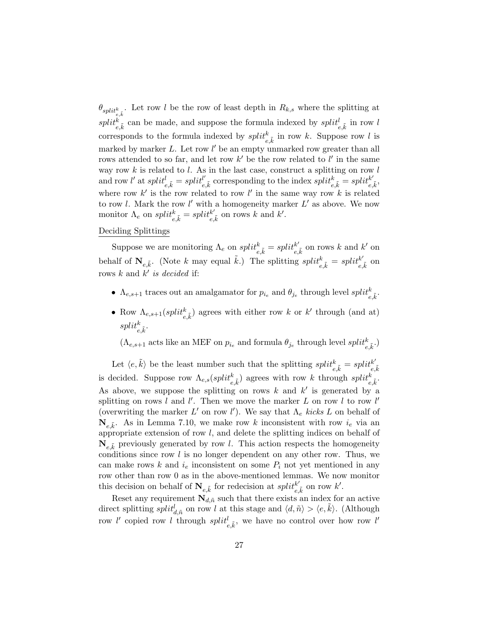$\theta_{split_{e,\tilde{k}}}$ . Let row l be the row of least depth in  $R_{k,s}$  where the splitting at  $split_{e,\tilde{k}}^k$  can be made, and suppose the formula indexed by  $split_{e,\tilde{k}}^l$  in row l corresponds to the formula indexed by  $split_{e,\tilde{k}}^{k}$  in row k. Suppose row l is marked by marker  $L$ . Let row  $l'$  be an empty unmarked row greater than all rows attended to so far, and let row  $k'$  be the row related to l' in the same way row  $k$  is related to  $l$ . As in the last case, construct a splitting on row  $l$ and row  $l'$  at  $split_{e,\tilde{k}}^{l'} = split_{e}^{l'}$  $e^{l}_{e,\tilde{k}}$  corresponding to the index  $split_{e,\tilde{k}}^{k} = split_{e,\tilde{k}}^{k'}$  $_{e,\tilde{k}}^{\kappa},$ where row  $k'$  is the row related to row l' in the same way row k is related to row l. Mark the row l' with a homogeneity marker  $L'$  as above. We now monitor  $\Lambda_e$  on  $split_{e,\tilde{k}}^{k} = split_{e,\tilde{k}}^{k'}$  $_{e,\tilde{k}}^{k'}$  on rows k and k'.

# Deciding Splittings

Suppose we are monitoring  $\Lambda_e$  on  $split_{e,\tilde{k}}^k = split_{e,\tilde{k}}^{k'}$  $k'_{e,\tilde{k}}$  on rows k and  $k'$  on behalf of  $\mathbf{N}_{e,\tilde{k}}$ . (Note k may equal  $\tilde{k}$ .) The splitting  $split_{e,\tilde{k}}^{i} = split_{e,\tilde{k}}^{k'}$  $_{e,\tilde{k}}^{k^\prime}$  on rows  $k$  and  $k'$  is decided if:

- $\Lambda_{e,s+1}$  traces out an amalgamator for  $p_{i_e}$  and  $\theta_{j_e}$  through level  $split_{e,\tilde{k}}^{k}$ .
- Row  $\Lambda_{e,s+1}(split_{e,\tilde{k}}^k)$  agrees with either row k or k' through (and at)  $split^k_{e,\tilde{k}}.$

 $(\Lambda_{e,s+1} \text{ acts like an MEF on } p_{i_e} \text{ and formula } \theta_{j_e} \text{ through level } split_{e,\tilde{k}}^k.)$ 

Let  $\langle e, \tilde{k} \rangle$  be the least number such that the splitting  $split_{e, \tilde{k}}^{int} = split_{e, \tilde{k}}^{k'}$  ${}_{e,\tilde{k}}$ is decided. Suppose row  $\Lambda_{e,s}(split_{e,\tilde{k}}^k)$  agrees with row k through  $split_{e,\tilde{k}}^k$ . As above, we suppose the splitting on rows k and  $k'$  is generated by a splitting on rows l and l'. Then we move the marker L on row l to row l' (overwriting the marker  $L'$  on row  $l'$ ). We say that  $\Lambda_e$  kicks  $L$  on behalf of  $\mathbf{N}_{e,\tilde{k}}$ . As in Lemma 7.10, we make row k inconsistent with row  $i_e$  via an appropriate extension of row  $l$ , and delete the splitting indices on behalf of  $\mathbf{N}_{e,\tilde{k}}$  previously generated by row l. This action respects the homogeneity conditions since row  $l$  is no longer dependent on any other row. Thus, we can make rows  $k$  and  $i_e$  inconsistent on some  $P_i$  not yet mentioned in any row other than row 0 as in the above-mentioned lemmas. We now monitor this decision on behalf of  $\mathbf{N}_{e,\tilde{k}}$  for redecision at  $split_{e}^{k'}$  $_{e,\tilde{k}}^{k'}$  on row  $k'.$ 

Reset any requirement  $N_{d,\tilde{n}}$  such that there exists an index for an active direct splitting  $split_{d,\tilde{n}}^l$  on row l at this stage and  $\langle d,\tilde{n}\rangle > \langle e,\tilde{k}\rangle$ . (Although row l' copied row l through  $split_{e,\tilde{k}}^{l}$ , we have no control over how row l'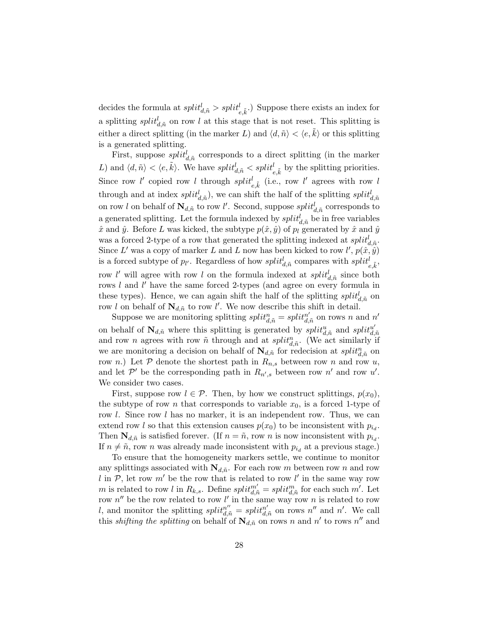decides the formula at  $split_{d,\tilde{n}}^l > split_{e,\tilde{k}}^l$ .) Suppose there exists an index for a splitting  $split_{d,\tilde{n}}$  on row l at this stage that is not reset. This splitting is either a direct splitting (in the marker L) and  $\langle d, \tilde{n} \rangle < \langle e, \tilde{k} \rangle$  or this splitting is a generated splitting.

First, suppose  $split_{d,\tilde{n}}^{l}$  corresponds to a direct splitting (in the marker L) and  $\langle d, \tilde{n} \rangle < \langle e, \tilde{k} \rangle$ . We have  $split_{d, \tilde{n}}^{\dagger} < split_{e, \tilde{k}}^{\dagger}$  by the splitting priorities. Since row l' copied row l through  $split_{e,\tilde{k}}^{l}$  (i.e., row l' agrees with row l through and at index  $split_{d,\tilde{n}}^{l}$ , we can shift the half of the splitting  $split_{d,\tilde{n}}^{l}$ on row l on behalf of  $\mathbf{N}_{d,\tilde{n}}$  to row l'. Second, suppose  $split_{d,\tilde{n}}^{l}$  corresponds to a generated splitting. Let the formula indexed by  $split_{d,\tilde{n}}^{l}$  be in free variables  $\hat{x}$  and  $\hat{y}$ . Before L was kicked, the subtype  $p(\hat{x}, \hat{y})$  of  $p_l$  generated by  $\hat{x}$  and  $\hat{y}$ was a forced 2-type of a row that generated the splitting indexed at  $split_{d,\tilde{n}}^{l}$ . Since L' was a copy of marker L and L now has been kicked to row  $l', p(\hat{x}, \hat{y})$ is a forced subtype of  $p_{l'}$ . Regardless of how  $split_{d,\tilde{n}}^{l}$  compares with  $split_{e,\tilde{k}}^{l}$ , row l' will agree with row l on the formula indexed at  $split_{d,\tilde{n}}^{l}$  since both rows  $l$  and  $l'$  have the same forced 2-types (and agree on every formula in these types). Hence, we can again shift the half of the splitting  $split_{d,\tilde{n}}^{l}$  on row l on behalf of  $\mathbf{N}_{d,n}$  to row l'. We now describe this shift in detail.

Suppose we are monitoring splitting  $split_{d,\tilde{n}}^{in} = split_{d,\tilde{n}}^{n'}$  $\frac{n'}{d,\tilde{n}}$  on rows n and  $n'$ on behalf of  $\mathbf{N}_{d,\tilde{n}}$  where this splitting is generated by  $split_{d,\tilde{n}}^{it}$  and  $split_{d,\tilde{n}}^{it}$  $_{d,\tilde{n}}$ and row *n* agrees with row  $\tilde{n}$  through and at  $split_{d,\tilde{n}}^{n}$ . (We act similarly if we are monitoring a decision on behalf of  $\mathbf{N}_{d,\tilde{n}}$  for redecision at  $split_{d,\tilde{n}}^{n}$  on row n.) Let P denote the shortest path in  $R_{n,s}$  between row n and row u, and let  $\mathcal{P}'$  be the corresponding path in  $R_{n',s}$  between row n' and row u'. We consider two cases.

First, suppose row  $l \in \mathcal{P}$ . Then, by how we construct splittings,  $p(x_0)$ , the subtype of row n that corresponds to variable  $x_0$ , is a forced 1-type of row *l.* Since row *l* has no marker, it is an independent row. Thus, we can extend row l so that this extension causes  $p(x_0)$  to be inconsistent with  $p_{i_d}$ . Then  $\mathbf{N}_{d,\tilde{n}}$  is satisfied forever. (If  $n = \tilde{n}$ , row n is now inconsistent with  $p_{i_d}$ . If  $n \neq \tilde{n}$ , row n was already made inconsistent with  $p_{i_d}$  at a previous stage.)

To ensure that the homogeneity markers settle, we continue to monitor any splittings associated with  $N_{d,n}$ . For each row m between row n and row l in  $P$ , let row m' be the row that is related to row l' in the same way row m is related to row l in  $R_{k,s}$ . Define  $split_{d,\tilde{n}}^{m'} = split_{d,\tilde{n}}^m$  for each such  $m'$ . Let row  $n''$  be the row related to row l' in the same way row n is related to row l, and monitor the splitting  $split_{d,\tilde{n}}^{in} = split_{d,\tilde{n}}^{n'}$  $\frac{n'}{d,n}$  on rows  $n''$  and  $n'$ . We call this *shifting the splitting* on behalf of  $\mathbf{N}_{d,\tilde{n}}$  on rows n and n' to rows n'' and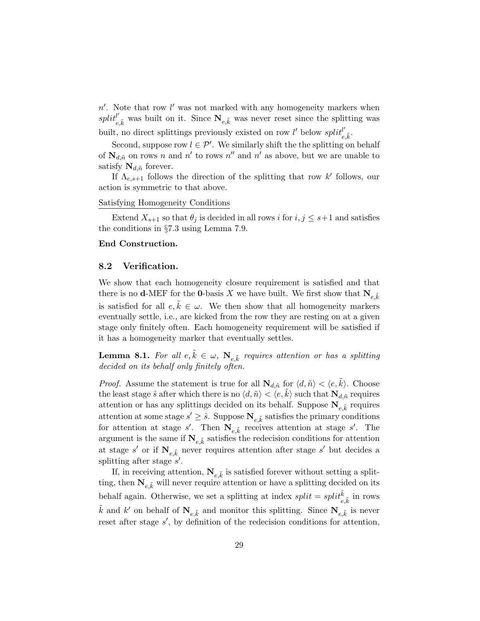$n'$ . Note that row  $l'$  was not marked with any homogeneity markers when  $split_{e,\tilde{k}}^{l'}$  was built on it. Since  $N_{e,\tilde{k}}$  was never reset since the splitting was built, no direct splittings previously existed on row l' below  $split'$  $_{e,\tilde{k}}^{\prime} \cdot$ 

Second, suppose row  $l \in \mathcal{P}'$ . We similarly shift the the splitting on behalf of  $\mathbf{N}_{d,\tilde{n}}$  on rows n and n' to rows n'' and n' as above, but we are unable to satisfy  $\mathbf{N}_{d,n}$  forever.

If  $\Lambda_{e,s+1}$  follows the direction of the splitting that row k' follows, our action is symmetric to that above.

## Satisfying Homogeneity Conditions

Extend  $X_{s+1}$  so that  $\theta_i$  is decided in all rows i for  $i, j \leq s+1$  and satisfies the conditions in §7.3 using Lemma 7.9.

### End Construction.

#### 8.2 Verification.

We show that each homogeneity closure requirement is satisfied and that there is no **d**-MEF for the **0**-basis X we have built. We first show that  $N_{e,\tilde{k}}$ is satisfied for all  $e, \tilde{k} \in \omega$ . We then show that all homogeneity markers eventually settle, i.e., are kicked from the row they are resting on at a given stage only finitely often. Each homogeneity requirement will be satisfied if it has a homogeneity marker that eventually settles.

**Lemma 8.1.** For all  $e, \tilde{k} \in \omega$ ,  $\mathbf{N}_{e, \tilde{k}}$  requires attention or has a splitting decided on its behalf only finitely often.

*Proof.* Assume the statement is true for all  $\mathbf{N}_{d,\tilde{n}}$  for  $\langle d, \tilde{n} \rangle < \langle e, \tilde{k} \rangle$ . Choose the least stage  $\hat{s}$  after which there is no  $\langle d, \tilde{n} \rangle < \langle e, k \rangle$  such that  $N_{d,\tilde{n}}$  requires attention or has any splittings decided on its behalf. Suppose  $N_{e,\tilde{k}}$  requires attention at some stage  $s' \geq \hat{s}$ . Suppose  $\mathbf{N}_{e,\tilde{k}}$  satisfies the primary conditions for attention at stage s'. Then  $N_{e,\tilde{k}}$  receives attention at stage s'. The argument is the same if  $\mathbf{N}_{e,\tilde{k}}$  satisfies the redecision conditions for attention at stage  $s'$  or if  $N_{e,\tilde{k}}$  never requires attention after stage  $s'$  but decides a splitting after stage  $s'$ .

If, in receiving attention,  $\mathbf{N}_{e,\tilde{k}}$  is satisfied forever without setting a splitting, then  $N_{e,\tilde{k}}$  will never require attention or have a splitting decided on its behalf again. Otherwise, we set a splitting at index  $split = split \tilde{k}_{e,\tilde{k}}^{\tilde{k}}$  in rows  $\tilde{k}$  and  $k'$  on behalf of  $\mathbf{N}_{e,\tilde{k}}$  and monitor this splitting. Since  $\mathbf{N}_{e,\tilde{k}}$  is never reset after stage  $s'$ , by definition of the redecision conditions for attention,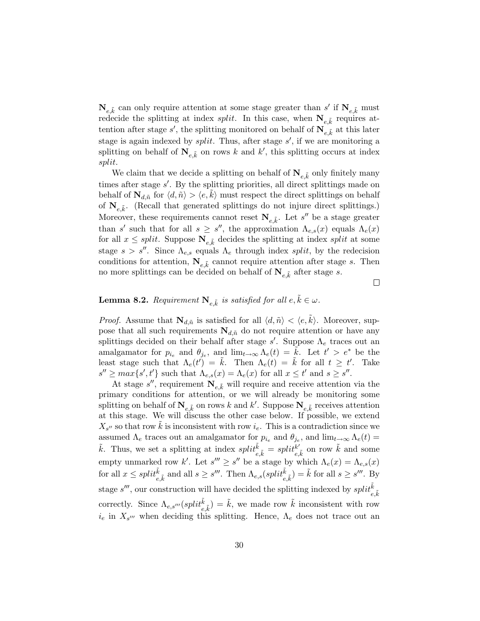$\mathbf{N}_{e,\tilde{k}}$  can only require attention at some stage greater than s' if  $\mathbf{N}_{e,\tilde{k}}$  must redecide the splitting at index *split*. In this case, when  $N_{e,\tilde{k}}$  requires attention after stage s', the splitting monitored on behalf of  $N_{e,\tilde{k}}$  at this later stage is again indexed by *split*. Thus, after stage  $s'$ , if we are monitoring a splitting on behalf of  $N_{e,\tilde{k}}$  on rows k and k', this splitting occurs at index split.

We claim that we decide a splitting on behalf of  $\mathbf{N}_{e,\tilde{k}}$  only finitely many times after stage s'. By the splitting priorities, all direct splittings made on behalf of  $\mathbf{N}_{d,\tilde{n}}$  for  $\langle d, \tilde{n} \rangle > \langle e, k \rangle$  must respect the direct splittings on behalf of  $\mathbf{N}_{e,\tilde{k}}$ . (Recall that generated splittings do not injure direct splittings.) Moreover, these requirements cannot reset  $N_{e,\tilde{k}}$ . Let s'' be a stage greater than s' such that for all  $s \geq s''$ , the approximation  $\Lambda_{e,s}(x)$  equals  $\Lambda_e(x)$ for all  $x \leq split$ . Suppose  $N_{e,\tilde{k}}$  decides the splitting at index split at some stage  $s > s''$ . Since  $\Lambda_{e,s}$  equals  $\Lambda_e$  through index split, by the redecision conditions for attention,  $N_{e,\tilde{k}}$  cannot require attention after stage s. Then no more splittings can be decided on behalf of  $\mathbf{N}_{e,\tilde{k}}$  after stage s.

 $\Box$ 

# **Lemma 8.2.** Requirement  $N_{e,\tilde{k}}$  is satisfied for all  $e, \tilde{k} \in \omega$ .

*Proof.* Assume that  $\mathbf{N}_{d,\tilde{n}}$  is satisfied for all  $\langle d, \tilde{n} \rangle < \langle e, \tilde{k} \rangle$ . Moreover, suppose that all such requirements  $N_{d,n}$  do not require attention or have any splittings decided on their behalf after stage  $s'$ . Suppose  $\Lambda_e$  traces out an amalgamator for  $p_{i_e}$  and  $\theta_{j_e}$ , and  $\lim_{t\to\infty}\Lambda_e(t) = \widetilde{k}$ . Let  $t' > e^*$  be the least stage such that  $\Lambda_e(t') = \tilde{k}$ . Then  $\Lambda_e(t) = \tilde{k}$  for all  $t \geq t'$ . Take  $s'' \geq max\{s', t'\}$  such that  $\Lambda_{e,s}(x) = \Lambda_e(x)$  for all  $x \leq t'$  and  $s \geq s''$ .

At stage  $s''$ , requirement  $\mathbf{N}_{e,\tilde{k}}$  will require and receive attention via the primary conditions for attention, or we will already be monitoring some splitting on behalf of  $N_{e,\tilde{k}}$  on rows k and k'. Suppose  $N_{e,\tilde{k}}$  receives attention at this stage. We will discuss the other case below. If possible, we extend  $X_{s''}$  so that row  $\tilde{k}$  is inconsistent with row  $i_e$ . This is a contradiction since we assumed  $\Lambda_e$  traces out an amalgamator for  $p_{i_e}$  and  $\theta_{j_e}$ , and  $\lim_{t\to\infty} \Lambda_e(t)$  $\tilde{k}$ . Thus, we set a splitting at index  $split_{e,\tilde{k}}^{i\tilde{k}} = split_{e}^{k'}$  $_{e,\tilde{k}}^{k'}$  on row  $\tilde{k}$  and some empty unmarked row k'. Let  $s''' \geq s''$  be a stage by which  $\Lambda_e(x) = \Lambda_{e,s}(x)$ for all  $x \leq split_{e,\tilde{k}}^{\tilde{k}}$  and all  $s \geq s'''$ . Then  $\Lambda_{e,s}(split_{e,\tilde{k}}^{\tilde{k}}) = \tilde{k}$  for all  $s \geq s'''$ . By stage  $s'''$ , our construction will have decided the splitting indexed by  $split^{\tilde{k}}_{e,\tilde{k}}$ correctly. Since  $\Lambda_{e,s'''}(split_{e,\tilde{k}}^{\tilde{k}}) = \tilde{k}$ , we made row  $\tilde{k}$  inconsistent with row  $i_e$  in  $X_{s'''}$  when deciding this splitting. Hence,  $\Lambda_e$  does not trace out an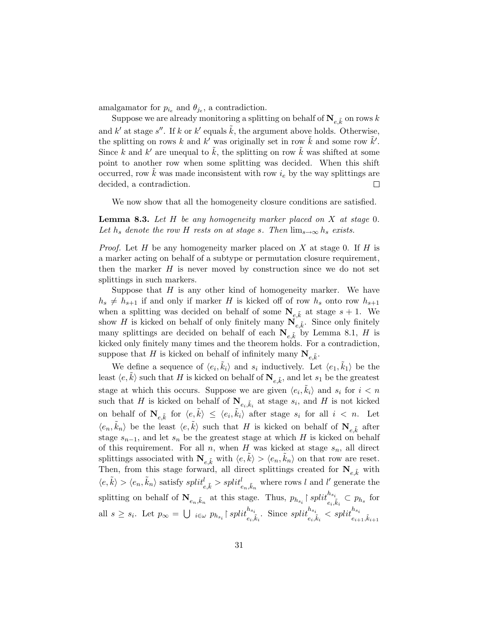amalgamator for  $p_{i_e}$  and  $\theta_{j_e}$ , a contradiction.

Suppose we are already monitoring a splitting on behalf of  $\mathbf{N}_{e,\tilde{k}}$  on rows  $k$ and k' at stage s''. If k or k' equals  $\tilde{k}$ , the argument above holds. Otherwise, the splitting on rows k and k' was originally set in row  $\tilde{k}$  and some row  $\tilde{k}'$ . Since k and k' are unequal to  $\tilde{k}$ , the splitting on row  $\tilde{k}$  was shifted at some point to another row when some splitting was decided. When this shift occurred, row  $k$  was made inconsistent with row  $i<sub>e</sub>$  by the way splittings are decided, a contradiction.  $\Box$ 

We now show that all the homogeneity closure conditions are satisfied.

**Lemma 8.3.** Let  $H$  be any homogeneity marker placed on  $X$  at stage 0. Let  $h_s$  denote the row H rests on at stage s. Then  $\lim_{s\to\infty}h_s$  exists.

*Proof.* Let H be any homogeneity marker placed on X at stage 0. If H is a marker acting on behalf of a subtype or permutation closure requirement, then the marker  $H$  is never moved by construction since we do not set splittings in such markers.

Suppose that  $H$  is any other kind of homogeneity marker. We have  $h_s \neq h_{s+1}$  if and only if marker H is kicked off of row  $h_s$  onto row  $h_{s+1}$ when a splitting was decided on behalf of some  $N_{e,\tilde{k}}$  at stage  $s + 1$ . We show H is kicked on behalf of only finitely many  $N_{e,\tilde{k}}$ . Since only finitely many splittings are decided on behalf of each  $\mathbf{N}_{e,\tilde{k}}$  by Lemma 8.1, H is kicked only finitely many times and the theorem holds. For a contradiction, suppose that H is kicked on behalf of infinitely many  $\mathbf{N}_{e,\tilde{k}}$ .

We define a sequence of  $\langle e_i, \tilde{k}_i \rangle$  and  $s_i$  inductively. Let  $\langle e_1, \tilde{k}_1 \rangle$  be the least  $\langle e, \tilde{k} \rangle$  such that H is kicked on behalf of  $\mathbf{N}_{e,\tilde{k}}$ , and let  $s_1$  be the greatest stage at which this occurs. Suppose we are given  $\langle e_i, \tilde{k}_i \rangle$  and  $s_i$  for  $i < n$ such that H is kicked on behalf of  $N_{e_i, \tilde{k}_i}$  at stage  $s_i$ , and H is not kicked on behalf of  $\mathbf{N}_{e,\tilde{k}}$  for  $\langle e,\tilde{k}\rangle \leq \langle e_i,\tilde{k}_i\rangle$  after stage  $s_i$  for all  $i < n$ . Let  $\langle e_n, \tilde{k}_n \rangle$  be the least  $\langle e, \tilde{k} \rangle$  such that H is kicked on behalf of  $\mathbf{N}_{e,\tilde{k}}$  after stage  $s_{n-1}$ , and let  $s_n$  be the greatest stage at which H is kicked on behalf of this requirement. For all  $n$ , when H was kicked at stage  $s_n$ , all direct splittings associated with  $\mathbf{N}_{e,\tilde{k}}$  with  $\langle e,\tilde{k}\rangle > \langle e_n,\tilde{k}_n\rangle$  on that row are reset. Then, from this stage forward, all direct splittings created for  $N_{e,\tilde{k}}$  with  $\langle e, \tilde{k} \rangle > \langle e_n, \tilde{k}_n \rangle$  satisfy  $split_{e, \tilde{k}}^l > split_{e_n, \tilde{k}_n}^l$  where rows l and l' generate the splitting on behalf of  $\mathbf{N}_{e_n,\tilde{k}_n}$  at this stage. Thus,  $p_{h_{s_i}}$   $\restriction$   $split$   $\int_{e_i,\tilde{k}_i}^{h_{s_i}} \subset p_{h_s}$  for all  $s \geq s_i$ . Let  $p_{\infty} = \bigcup_{i \in \omega} p_{h_{s_i}} \mid split_{e_i, \tilde{k}_i}^{h_{s_i}}$ . Since  $split_{e_i, \tilde{k}_i}^{h_{s_i}} < split_{e_{i+1}, \tilde{k}_{i+1}}^{h_{s_i}}$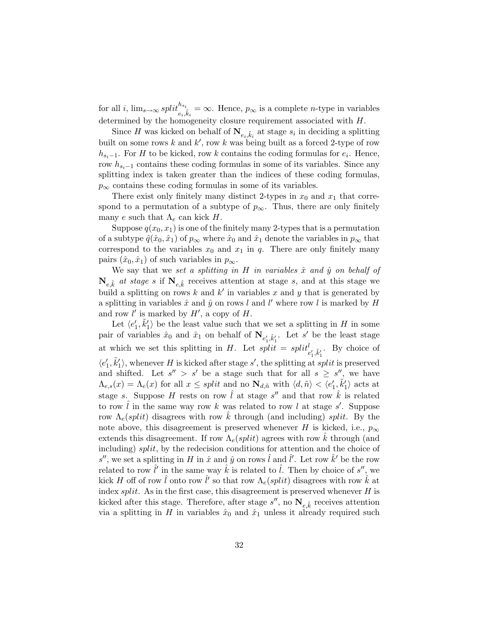for all *i*,  $\lim_{s\to\infty} split_{e_i,\tilde{k}_i}^{h_{s_i}} = \infty$ . Hence,  $p_{\infty}$  is a complete *n*-type in variables determined by the homogeneity closure requirement associated with H.

Since H was kicked on behalf of  $\mathbf{N}_{e_i, \tilde{k}_i}$  at stage  $s_i$  in deciding a splitting built on some rows k and  $k'$ , row k was being built as a forced 2-type of row  $h_{s_i-1}$ . For H to be kicked, row k contains the coding formulas for  $e_i$ . Hence, row  $h_{s,-1}$  contains these coding formulas in some of its variables. Since any splitting index is taken greater than the indices of these coding formulas,  $p_{\infty}$  contains these coding formulas in some of its variables.

There exist only finitely many distinct 2-types in  $x_0$  and  $x_1$  that correspond to a permutation of a subtype of  $p_{\infty}$ . Thus, there are only finitely many e such that  $\Lambda_e$  can kick H.

Suppose  $q(x_0, x_1)$  is one of the finitely many 2-types that is a permutation of a subtype  $\hat{q}(\hat{x}_0, \hat{x}_1)$  of  $p_{\infty}$  where  $\hat{x}_0$  and  $\hat{x}_1$  denote the variables in  $p_{\infty}$  that correspond to the variables  $x_0$  and  $x_1$  in q. There are only finitely many pairs  $(\hat{x}_0, \hat{x}_1)$  of such variables in  $p_\infty$ .

We say that we set a splitting in H in variables  $\hat{x}$  and  $\hat{y}$  on behalf of  $\mathbf{N}_{e,\tilde{k}}$  at stage s if  $\mathbf{N}_{e,\tilde{k}}$  receives attention at stage s, and at this stage we build a splitting on rows k and k' in variables x and y that is generated by a splitting in variables  $\hat{x}$  and  $\hat{y}$  on rows l and l' where row l is marked by H and row  $l'$  is marked by  $H'$ , a copy of  $H$ .

Let  $\langle e'_1, \tilde{k}'_1 \rangle$  be the least value such that we set a splitting in H in some pair of variables  $\hat{x}_0$  and  $\hat{x}_1$  on behalf of  $N_{e'_1,\tilde{k}'_1}$ . Let s' be the least stage at which we set this splitting in H. Let  $split = split_{e'_1, \tilde{k}'_1}^l$ . By choice of  $\langle e_1', \tilde{k}_1' \rangle$ , whenever H is kicked after stage s', the splitting at split is preserved and shifted. Let  $s'' > s'$  be a stage such that for all  $s \geq s''$ , we have  $\Lambda_{e,s}(x) = \Lambda_e(x)$  for all  $x \leq split$  and no  $\mathbf{N}_{d,\tilde{n}}$  with  $\langle d,\tilde{n}\rangle < \langle e'_1,\tilde{k}'_1\rangle$  acts at stage s. Suppose H rests on row  $\hat{l}$  at stage s'' and that row  $\hat{k}$  is related to row  $\hat{l}$  in the same way row k was related to row l at stage s'. Suppose row  $\Lambda_e(split)$  disagrees with row k through (and including) split. By the note above, this disagreement is preserved whenever H is kicked, i.e.,  $p_{\infty}$ extends this disagreement. If row  $\Lambda_e(split)$  agrees with row k through (and including) split, by the redecision conditions for attention and the choice of s'', we set a splitting in H in  $\hat{x}$  and  $\hat{y}$  on rows  $\hat{l}$  and  $\hat{l}'$ . Let row  $\hat{k}'$  be the row related to row  $\hat{l}'$  in the same way  $\hat{k}$  is related to  $\hat{l}$ . Then by choice of s'', we kick H off of row  $\hat{l}$  onto row  $\hat{l}'$  so that row  $\Lambda_e(split)$  disagrees with row  $\hat{k}$  at index  $split$ . As in the first case, this disagreement is preserved whenever  $H$  is kicked after this stage. Therefore, after stage  $s''$ , no  $\mathbf{N}_{e,\tilde{k}}$  receives attention via a splitting in H in variables  $\hat{x}_0$  and  $\hat{x}_1$  unless it already required such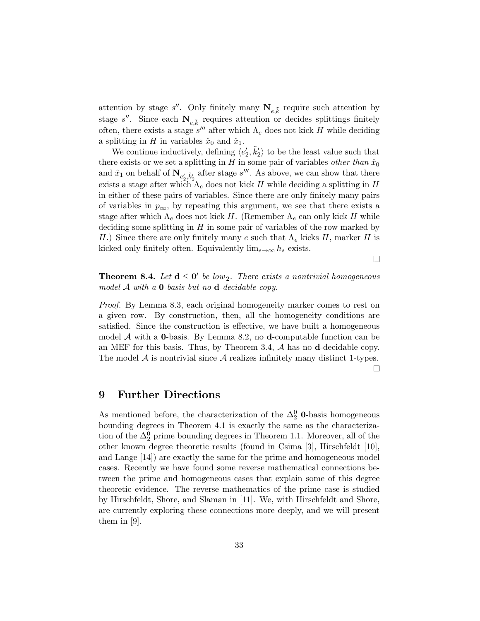attention by stage  $s''$ . Only finitely many  $N_{e,\tilde{k}}$  require such attention by stage s''. Since each  $N_{e,\tilde{k}}$  requires attention or decides splittings finitely often, there exists a stage  $s^{\prime\prime\prime}$  after which  $\Lambda_e$  does not kick H while deciding a splitting in H in variables  $\hat{x}_0$  and  $\hat{x}_1$ .

We continue inductively, defining  $\langle e'_2, \tilde{k}'_2 \rangle$  to be the least value such that there exists or we set a splitting in H in some pair of variables *other than*  $\hat{x}_0$ and  $\hat{x}_1$  on behalf of  $\mathbf{N}_{e'_2, \tilde{k}'_2}$  after stage s'''. As above, we can show that there exists a stage after which  $\Lambda_e$  does not kick H while deciding a splitting in H in either of these pairs of variables. Since there are only finitely many pairs of variables in  $p_{\infty}$ , by repeating this argument, we see that there exists a stage after which  $\Lambda_e$  does not kick H. (Remember  $\Lambda_e$  can only kick H while deciding some splitting in  $H$  in some pair of variables of the row marked by H.) Since there are only finitely many e such that  $\Lambda_e$  kicks H, marker H is kicked only finitely often. Equivalently  $\lim_{s\to\infty} h_s$  exists.

**Theorem 8.4.** Let  $d \le 0'$  be low<sub>2</sub>. There exists a nontrivial homogeneous model  $A$  with a **0**-basis but no **d**-decidable copy.

 $\Box$ 

Proof. By Lemma 8.3, each original homogeneity marker comes to rest on a given row. By construction, then, all the homogeneity conditions are satisfied. Since the construction is effective, we have built a homogeneous model  $A$  with a **0**-basis. By Lemma 8.2, no **d**-computable function can be an MEF for this basis. Thus, by Theorem 3.4,  $A$  has no d-decidable copy. The model  $A$  is nontrivial since  $A$  realizes infinitely many distinct 1-types.  $\Box$ 

# 9 Further Directions

As mentioned before, the characterization of the  $\Delta_2^0$  **0**-basis homogeneous bounding degrees in Theorem 4.1 is exactly the same as the characterization of the  $\Delta_2^0$  prime bounding degrees in Theorem 1.1. Moreover, all of the other known degree theoretic results (found in Csima  $|3|$ , Hirschfeldt  $|10|$ , and Lange [14]) are exactly the same for the prime and homogeneous model cases. Recently we have found some reverse mathematical connections between the prime and homogeneous cases that explain some of this degree theoretic evidence. The reverse mathematics of the prime case is studied by Hirschfeldt, Shore, and Slaman in [11]. We, with Hirschfeldt and Shore, are currently exploring these connections more deeply, and we will present them in [9].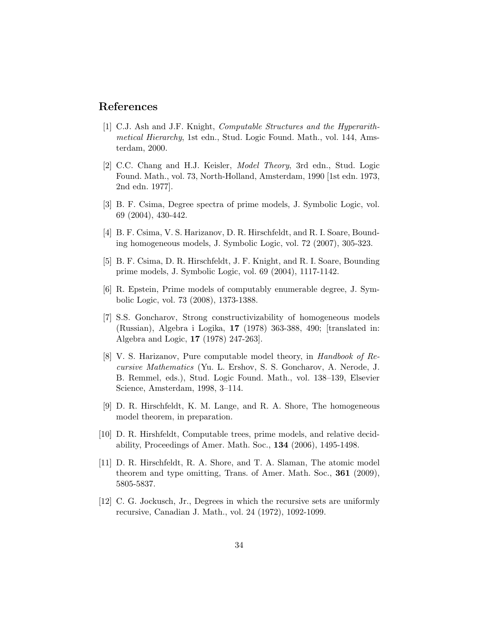# References

- [1] C.J. Ash and J.F. Knight, Computable Structures and the Hyperarithmetical Hierarchy, 1st edn., Stud. Logic Found. Math., vol. 144, Amsterdam, 2000.
- [2] C.C. Chang and H.J. Keisler, Model Theory, 3rd edn., Stud. Logic Found. Math., vol. 73, North-Holland, Amsterdam, 1990 [1st edn. 1973, 2nd edn. 1977].
- [3] B. F. Csima, Degree spectra of prime models, J. Symbolic Logic, vol. 69 (2004), 430-442.
- [4] B. F. Csima, V. S. Harizanov, D. R. Hirschfeldt, and R. I. Soare, Bounding homogeneous models, J. Symbolic Logic, vol. 72 (2007), 305-323.
- [5] B. F. Csima, D. R. Hirschfeldt, J. F. Knight, and R. I. Soare, Bounding prime models, J. Symbolic Logic, vol. 69 (2004), 1117-1142.
- [6] R. Epstein, Prime models of computably enumerable degree, J. Symbolic Logic, vol. 73 (2008), 1373-1388.
- [7] S.S. Goncharov, Strong constructivizability of homogeneous models (Russian), Algebra i Logika, 17 (1978) 363-388, 490; [translated in: Algebra and Logic, 17 (1978) 247-263].
- [8] V. S. Harizanov, Pure computable model theory, in Handbook of Recursive Mathematics (Yu. L. Ershov, S. S. Goncharov, A. Nerode, J. B. Remmel, eds.), Stud. Logic Found. Math., vol. 138–139, Elsevier Science, Amsterdam, 1998, 3–114.
- [9] D. R. Hirschfeldt, K. M. Lange, and R. A. Shore, The homogeneous model theorem, in preparation.
- [10] D. R. Hirshfeldt, Computable trees, prime models, and relative decidability, Proceedings of Amer. Math. Soc., 134 (2006), 1495-1498.
- [11] D. R. Hirschfeldt, R. A. Shore, and T. A. Slaman, The atomic model theorem and type omitting, Trans. of Amer. Math. Soc., 361 (2009), 5805-5837.
- [12] C. G. Jockusch, Jr., Degrees in which the recursive sets are uniformly recursive, Canadian J. Math., vol. 24 (1972), 1092-1099.